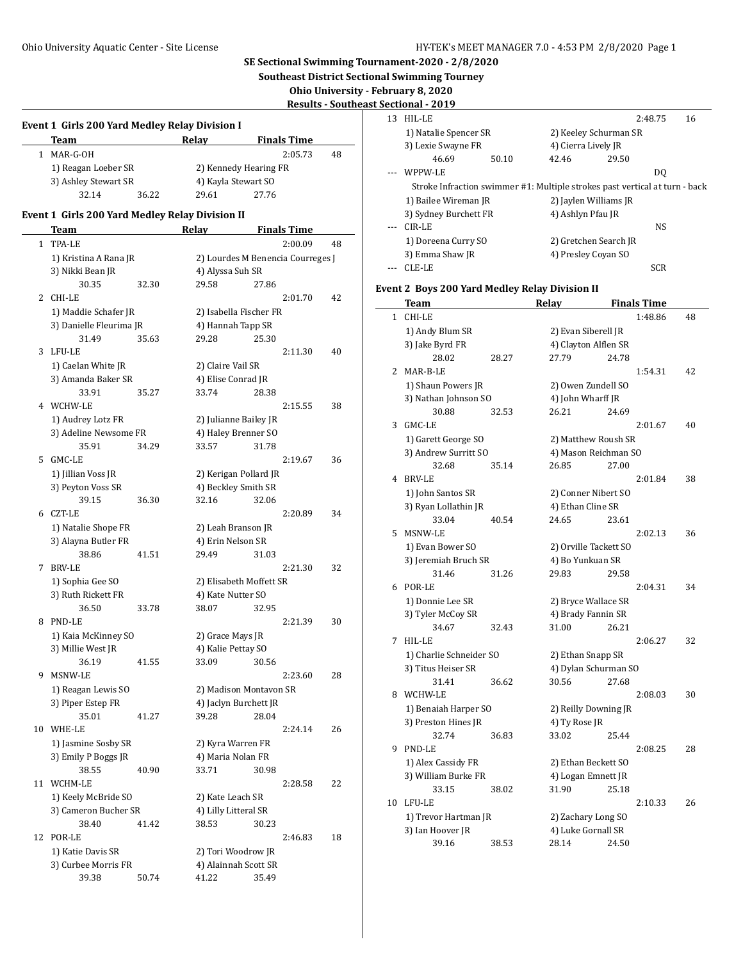**Southeast District Sectional Swimming Tourney**

**Ohio University - February 8, 2020**

**Results - Southeast Sectional - 2019**

| <b>Event 1 Girls 200 Yard Medley Relay Division I</b> |  |
|-------------------------------------------------------|--|
|                                                       |  |

| Team                 |       | Relav                 | <b>Finals Time</b> |    |  |
|----------------------|-------|-----------------------|--------------------|----|--|
| MAR-G-OH             |       |                       | 2:05.73            | 48 |  |
| 1) Reagan Loeber SR  |       | 2) Kennedy Hearing FR |                    |    |  |
| 3) Ashley Stewart SR |       | 4) Kayla Stewart SO   |                    |    |  |
| 32.14                | 36.22 | 29.61                 | 27.76              |    |  |

## **Event 1 Girls 200 Yard Medley Relay Division II**

|    | Team                                   |       | <b>Relay</b>                                 |       | <b>Finals Time</b> |    |
|----|----------------------------------------|-------|----------------------------------------------|-------|--------------------|----|
| 1  | TPA-LE                                 |       |                                              |       | 2:00.09            | 48 |
|    | 1) Kristina A Rana JR                  |       | 2) Lourdes M Benencia Courreges J            |       |                    |    |
|    | 3) Nikki Bean JR                       |       | 4) Alyssa Suh SR                             |       |                    |    |
|    | 30.35                                  | 32.30 | 29.58                                        | 27.86 |                    |    |
| 2  | CHI-LE                                 |       |                                              |       | 2:01.70            | 42 |
|    | 1) Maddie Schafer JR                   |       | 2) Isabella Fischer FR                       |       |                    |    |
|    | 3) Danielle Fleurima JR                |       | 4) Hannah Tapp SR                            |       |                    |    |
|    | 31.49                                  | 35.63 | 29.28                                        | 25.30 |                    |    |
| 3  | LFU-LE                                 |       |                                              |       | 2:11.30            | 40 |
|    | 1) Caelan White JR                     |       | 2) Claire Vail SR                            |       |                    |    |
|    | 3) Amanda Baker SR                     |       | 4) Elise Conrad JR                           |       |                    |    |
|    | 33.91                                  | 35.27 | 33.74                                        | 28.38 |                    |    |
| 4  | WCHW-LE                                |       |                                              |       | 2:15.55            | 38 |
|    | 1) Audrey Lotz FR                      |       | 2) Julianne Bailey JR                        |       |                    |    |
|    | 3) Adeline Newsome FR                  |       | 4) Haley Brenner SO                          |       |                    |    |
|    | 35.91                                  | 34.29 | 33.57                                        | 31.78 |                    |    |
| 5  | GMC-LE                                 |       |                                              |       | 2:19.67            | 36 |
|    | 1) Jillian Voss JR                     |       | 2) Kerigan Pollard JR                        |       |                    |    |
|    | 3) Peyton Voss SR                      |       | 4) Beckley Smith SR                          |       |                    |    |
|    | 39.15                                  | 36.30 | 32.16                                        | 32.06 |                    |    |
| 6  | CZT-LE                                 |       |                                              |       | 2:20.89            | 34 |
|    | 1) Natalie Shope FR                    |       | 2) Leah Branson JR                           |       |                    |    |
|    | 3) Alayna Butler FR                    |       | 4) Erin Nelson SR                            |       |                    |    |
|    | 38.86                                  | 41.51 | 29.49                                        | 31.03 |                    |    |
| 7  | BRV-LE                                 |       |                                              |       | 2:21.30            | 32 |
|    | 1) Sophia Gee SO<br>3) Ruth Rickett FR |       | 2) Elisabeth Moffett SR<br>4) Kate Nutter SO |       |                    |    |
|    | 36.50                                  | 33.78 | 38.07                                        | 32.95 |                    |    |
| 8  | PND-LE                                 |       |                                              |       | 2:21.39            | 30 |
|    | 1) Kaia McKinney SO                    |       | 2) Grace Mays JR                             |       |                    |    |
|    | 3) Millie West JR                      |       | 4) Kalie Pettay SO                           |       |                    |    |
|    | 36.19                                  | 41.55 | 33.09                                        | 30.56 |                    |    |
| 9  | MSNW-LE                                |       |                                              |       | 2:23.60            | 28 |
|    | 1) Reagan Lewis SO                     |       | 2) Madison Montavon SR                       |       |                    |    |
|    | 3) Piper Estep FR                      |       | 4) Jaclyn Burchett JR                        |       |                    |    |
|    | 35.01                                  | 41.27 | 39.28                                        | 28.04 |                    |    |
| 10 | WHE-LE                                 |       |                                              |       | 2:24.14            | 26 |
|    | 1) Jasmine Sosby SR                    |       | 2) Kyra Warren FR                            |       |                    |    |
|    | 3) Emily P Boggs JR                    |       | 4) Maria Nolan FR                            |       |                    |    |
|    | 38.55                                  | 40.90 | 33.71 30.98                                  |       |                    |    |
| 11 | WCHM-LE                                |       |                                              |       | 2:28.58            | 22 |
|    | 1) Keely McBride SO                    |       | 2) Kate Leach SR                             |       |                    |    |
|    | 3) Cameron Bucher SR                   |       | 4) Lilly Litteral SR                         |       |                    |    |
|    | 38.40                                  | 41.42 | 38.53                                        | 30.23 |                    |    |
| 12 | POR-LE                                 |       |                                              |       | 2:46.83            | 18 |
|    | 1) Katie Davis SR                      |       | 2) Tori Woodrow JR                           |       |                    |    |
|    | 3) Curbee Morris FR                    |       | 4) Alainnah Scott SR                         |       |                    |    |
|    | 39.38                                  | 50.74 | 41.22                                        | 35.49 |                    |    |

| 13 | HIL-LE                                                                      |       |                       |       | 2:48.75 | 16 |  |
|----|-----------------------------------------------------------------------------|-------|-----------------------|-------|---------|----|--|
|    | 1) Natalie Spencer SR                                                       |       | 2) Keeley Schurman SR |       |         |    |  |
|    | 3) Lexie Swayne FR                                                          |       | 4) Cierra Lively JR   |       |         |    |  |
|    | 46.69                                                                       | 50.10 | 42.46                 | 29.50 |         |    |  |
|    | WPPW-LE                                                                     |       |                       |       | DO      |    |  |
|    | Stroke Infraction swimmer #1: Multiple strokes past vertical at turn - back |       |                       |       |         |    |  |
|    | 1) Bailee Wireman JR                                                        |       | 2) Jaylen Williams JR |       |         |    |  |
|    | 3) Sydney Burchett FR                                                       |       | 4) Ashlyn Pfau JR     |       |         |    |  |
|    | CIR-LE                                                                      |       |                       |       | NS.     |    |  |
|    | 1) Doreena Curry SO                                                         |       | 2) Gretchen Search JR |       |         |    |  |
|    | 3) Emma Shaw JR                                                             |       | 4) Presley Coyan SO   |       |         |    |  |
|    | CLE-LE                                                                      |       |                       |       | SCR     |    |  |

# **Event 2 Boys 200 Yard Medley Relay Division II**

|              | Team                    |       | Relay                 |                   | <b>Finals Time</b> |    |
|--------------|-------------------------|-------|-----------------------|-------------------|--------------------|----|
| $\mathbf{1}$ | CHI-LE                  |       |                       |                   | 1:48.86            | 48 |
|              | 1) Andy Blum SR         |       | 2) Evan Siberell JR   |                   |                    |    |
|              | 3) Jake Byrd FR         |       | 4) Clayton Alflen SR  |                   |                    |    |
|              | 28.02                   | 28.27 | 27.79                 | 24.78             |                    |    |
| 2            | MAR-B-LE                |       |                       |                   | 1:54.31            | 42 |
|              | 1) Shaun Powers JR      |       | 2) Owen Zundell SO    |                   |                    |    |
|              | 3) Nathan Johnson SO    |       | 4) John Wharff JR     |                   |                    |    |
|              | 30.88                   | 32.53 | 26.21                 | 24.69             |                    |    |
| 3            | GMC-LE                  |       |                       |                   | 2:01.67            | 40 |
|              | 1) Garett George SO     |       | 2) Matthew Roush SR   |                   |                    |    |
|              | 3) Andrew Surritt SO    |       | 4) Mason Reichman SO  |                   |                    |    |
|              | 32.68                   | 35.14 | 26.85                 | 27.00             |                    |    |
| 4            | <b>BRV-LE</b>           |       |                       |                   | 2:01.84            | 38 |
|              | 1) John Santos SR       |       | 2) Conner Nibert SO   |                   |                    |    |
|              | 3) Ryan Lollathin JR    |       | 4) Ethan Cline SR     |                   |                    |    |
|              | 33.04                   | 40.54 | 24.65                 | 23.61             |                    |    |
| 5            | MSNW-LE                 |       |                       |                   | 2:02.13            | 36 |
|              | 1) Evan Bower SO        |       | 2) Orville Tackett SO |                   |                    |    |
|              | 3) Jeremiah Bruch SR    |       | 4) Bo Yunkuan SR      |                   |                    |    |
|              | 31.46                   | 31.26 | 29.83                 | 29.58             |                    |    |
| 6            | POR-LE                  |       |                       |                   | 2:04.31            | 34 |
|              | 1) Donnie Lee SR        |       | 2) Bryce Wallace SR   |                   |                    |    |
|              | 3) Tyler McCoy SR       |       | 4) Brady Fannin SR    |                   |                    |    |
|              | 34.67                   | 32.43 | 31.00                 | 26.21             |                    |    |
| 7            | HIL-LE                  |       |                       |                   | 2:06.27            | 32 |
|              | 1) Charlie Schneider SO |       |                       | 2) Ethan Snapp SR |                    |    |
|              | 3) Titus Heiser SR      |       | 4) Dylan Schurman SO  |                   |                    |    |
|              | 31.41                   | 36.62 | 30.56                 | 27.68             |                    |    |
| 8            | WCHW-LE                 |       |                       |                   | 2:08.03            | 30 |
|              | 1) Benaiah Harper SO    |       | 2) Reilly Downing JR  |                   |                    |    |
|              | 3) Preston Hines JR     |       | 4) Ty Rose JR         |                   |                    |    |
|              | 32.74                   | 36.83 | 33.02                 | 25.44             |                    |    |
| 9            | PND-LE                  |       |                       |                   | 2:08.25            | 28 |
|              | 1) Alex Cassidy FR      |       | 2) Ethan Beckett SO   |                   |                    |    |
|              | 3) William Burke FR     |       | 4) Logan Emnett JR    |                   |                    |    |
|              | 33.15                   | 38.02 | 31.90                 | 25.18             |                    |    |
| 10           | LFU-LE                  |       |                       |                   | 2:10.33            | 26 |
|              | 1) Trevor Hartman JR    |       | 2) Zachary Long SO    |                   |                    |    |
|              | 3) Ian Hoover JR        |       | 4) Luke Gornall SR    |                   |                    |    |
|              | 39.16                   | 38.53 | 28.14                 | 24.50             |                    |    |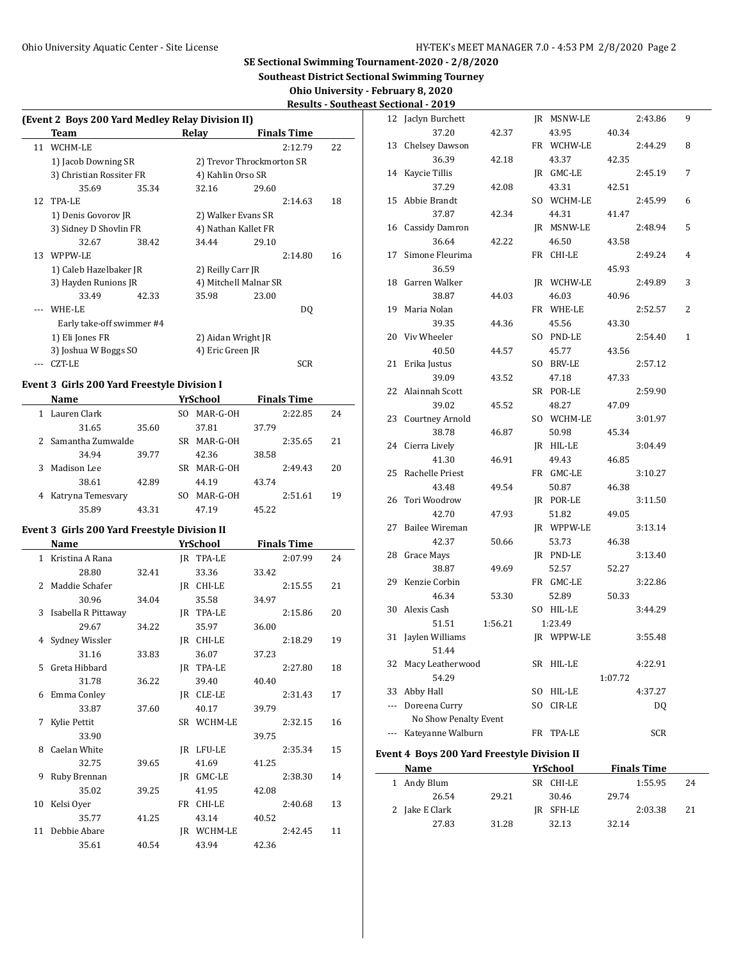**Southeast District Sectional Swimming Tourney**

**Ohio University - February 8, 2020 Results - Southeast Sectional - 2019**

| (Event 2 Boys 200 Yard Medley Relay Division II) |       |                   |                           |    |  |  |  |  |  |  |  |
|--------------------------------------------------|-------|-------------------|---------------------------|----|--|--|--|--|--|--|--|
| Team                                             |       | Relay             | <b>Finals Time</b>        |    |  |  |  |  |  |  |  |
| 11 WCHM-LE                                       |       |                   | 2:12.79                   | 22 |  |  |  |  |  |  |  |
| 1) Jacob Downing SR                              |       |                   | 2) Trevor Throckmorton SR |    |  |  |  |  |  |  |  |
| 3) Christian Rossiter FR                         |       | 4) Kahlin Orso SR |                           |    |  |  |  |  |  |  |  |
| 35.69                                            | 35.34 | 32.16             | 29.60                     |    |  |  |  |  |  |  |  |
| 12 TPA-LE                                        |       |                   | 2:14.63                   | 18 |  |  |  |  |  |  |  |
| 1) Denis Govorov JR                              |       |                   | 2) Walker Evans SR        |    |  |  |  |  |  |  |  |
| 3) Sidney D Shovlin FR                           |       |                   | 4) Nathan Kallet FR       |    |  |  |  |  |  |  |  |
| 32.67                                            | 38.42 | 34.44             | 29.10                     |    |  |  |  |  |  |  |  |
| 13 WPPW-LE                                       |       |                   | 2:14.80                   | 16 |  |  |  |  |  |  |  |
| 1) Caleb Hazelbaker JR                           |       | 2) Reilly Carr JR |                           |    |  |  |  |  |  |  |  |
| 3) Hayden Runions JR                             |       |                   | 4) Mitchell Malnar SR     |    |  |  |  |  |  |  |  |
| 33.49                                            | 42.33 | 35.98             | 23.00                     |    |  |  |  |  |  |  |  |
| WHE-LE                                           |       |                   | DO.                       |    |  |  |  |  |  |  |  |
| Early take-off swimmer #4                        |       |                   |                           |    |  |  |  |  |  |  |  |
| 1) Eli Jones FR                                  |       |                   | 2) Aidan Wright JR        |    |  |  |  |  |  |  |  |
| 3) Joshua W Boggs SO                             |       | 4) Eric Green JR  |                           |    |  |  |  |  |  |  |  |
| CZT-LE                                           |       |                   | <b>SCR</b>                |    |  |  |  |  |  |  |  |
|                                                  |       |                   |                           |    |  |  |  |  |  |  |  |

### **Event 3 Girls 200 Yard Freestyle Division I**

|              | Name                |       |     | YrSchool | <b>Finals Time</b> |         |    |  |
|--------------|---------------------|-------|-----|----------|--------------------|---------|----|--|
| $\mathbf{1}$ | Lauren Clark        |       | SO. | MAR-G-OH |                    | 2:22.85 | 24 |  |
|              | 31.65               | 35.60 |     | 37.81    | 37.79              |         |    |  |
|              | 2 Samantha Zumwalde |       | SR. | MAR-G-OH |                    | 2:35.65 | 21 |  |
|              | 34.94               | 39.77 |     | 42.36    | 38.58              |         |    |  |
| 3.           | Madison Lee         |       | SR  | MAR-G-OH |                    | 2:49.43 | 20 |  |
|              | 38.61               | 42.89 |     | 44.19    | 43.74              |         |    |  |
| 4            | Katryna Temesvary   |       | SΟ  | MAR-G-OH |                    | 2:51.61 | 19 |  |
|              | 35.89               | 43.31 |     | 47.19    | 45.22              |         |    |  |

# **Event 3 Girls 200 Yard Freestyle Division II**

 $\overline{\phantom{a}}$ 

|                | Name                |       |    | YrSchool   |       | <b>Finals Time</b> |    |
|----------------|---------------------|-------|----|------------|-------|--------------------|----|
| 1              | Kristina A Rana     |       |    | IR TPA-LE  |       | 2:07.99            | 24 |
|                | 28.80               | 32.41 |    | 33.36      | 33.42 |                    |    |
| $\overline{2}$ | Maddie Schafer      |       | IR | CHI-LE     |       | 2:15.55            | 21 |
|                | 30.96               | 34.04 |    | 35.58      | 34.97 |                    |    |
| 3              | Isabella R Pittaway |       |    | IR TPA-LE  |       | 2:15.86            | 20 |
|                | 29.67               | 34.22 |    | 35.97      | 36.00 |                    |    |
|                | 4 Sydney Wissler    |       | IR | CHI-LE     |       | 2:18.29            | 19 |
|                | 31.16               | 33.83 |    | 36.07      | 37.23 |                    |    |
| $5 -$          | Greta Hibbard       |       | IR | TPA-LE     |       | 2:27.80            | 18 |
|                | 31.78               | 36.22 |    | 39.40      | 40.40 |                    |    |
| 6              | Emma Conley         |       | IR | CLE-LE     |       | 2:31.43            | 17 |
|                | 33.87               | 37.60 |    | 40.17      | 39.79 |                    |    |
|                | Kylie Pettit        |       |    | SR WCHM-LE |       | 2:32.15            | 16 |
|                | 33.90               |       |    |            | 39.75 |                    |    |
| 8              | Caelan White        |       | IR | LFU-LE     |       | 2:35.34            | 15 |
|                | 32.75               | 39.65 |    | 41.69      | 41.25 |                    |    |
| 9              | Ruby Brennan        |       | IR | GMC-LE     |       | 2:38.30            | 14 |
|                | 35.02               | 39.25 |    | 41.95      | 42.08 |                    |    |
| 10             | Kelsi Oyer          |       | FR | CHI-LE     |       | 2:40.68            | 13 |
|                | 35.77               | 41.25 |    | 43.14      | 40.52 |                    |    |
| 11             | Debbie Abare        |       | IR | WCHM-LE    |       | 2:42.45            | 11 |
|                | 35.61               | 40.54 |    | 43.94      | 42.36 |                    |    |

| 12                       | Jaclyn Burchett       |         |     | JR MSNW-LE |         | 2:43.86 | 9 |
|--------------------------|-----------------------|---------|-----|------------|---------|---------|---|
|                          | 37.20                 | 42.37   |     | 43.95      | 40.34   |         |   |
| 13                       | <b>Chelsey Dawson</b> |         |     | FR WCHW-LE |         | 2:44.29 | 8 |
|                          | 36.39                 | 42.18   |     | 43.37      | 42.35   |         |   |
| 14                       | Kaycie Tillis         |         |     | JR GMC-LE  |         | 2:45.19 | 7 |
|                          | 37.29                 | 42.08   |     | 43.31      | 42.51   |         |   |
| 15                       | Abbie Brandt          |         |     | SO WCHM-LE |         | 2:45.99 | 6 |
|                          | 37.87                 | 42.34   |     | 44.31      | 41.47   |         |   |
| 16                       | Cassidy Damron        |         |     | JR MSNW-LE |         | 2:48.94 | 5 |
|                          | 36.64                 | 42.22   |     | 46.50      | 43.58   |         |   |
| 17                       | Simone Fleurima       |         | FR  | CHI-LE     |         | 2:49.24 | 4 |
|                          | 36.59                 |         |     |            | 45.93   |         |   |
| 18                       | Garren Walker         |         |     | JR WCHW-LE |         | 2:49.89 | 3 |
|                          | 38.87                 | 44.03   |     | 46.03      | 40.96   |         |   |
| 19                       | Maria Nolan           |         |     | FR WHE-LE  |         | 2:52.57 | 2 |
|                          | 39.35                 | 44.36   |     | 45.56      | 43.30   |         |   |
| 20                       | Viv Wheeler           |         |     | SO PND-LE  |         | 2:54.40 | 1 |
|                          | 40.50                 | 44.57   |     | 45.77      | 43.56   |         |   |
| 21                       | Erika Justus          |         |     | SO BRV-LE  |         | 2:57.12 |   |
|                          | 39.09                 | 43.52   |     | 47.18      | 47.33   |         |   |
| 22                       | Alainnah Scott        |         |     | SR POR-LE  |         | 2:59.90 |   |
|                          | 39.02                 | 45.52   |     | 48.27      | 47.09   |         |   |
| 23                       | Courtney Arnold       |         |     | SO WCHM-LE |         | 3:01.97 |   |
|                          | 38.78                 | 46.87   |     | 50.98      | 45.34   |         |   |
| 24                       | Cierra Lively         |         |     | JR HIL-LE  |         | 3:04.49 |   |
|                          | 41.30                 | 46.91   |     | 49.43      | 46.85   |         |   |
| 25                       | Rachelle Priest       |         |     | FR GMC-LE  |         | 3:10.27 |   |
|                          | 43.48                 | 49.54   |     | 50.87      | 46.38   |         |   |
| 26                       | Tori Woodrow          |         |     | JR POR-LE  |         | 3:11.50 |   |
|                          | 42.70                 | 47.93   |     | 51.82      | 49.05   |         |   |
| 27                       | <b>Bailee Wireman</b> |         |     | JR WPPW-LE |         | 3:13.14 |   |
|                          | 42.37                 | 50.66   |     | 53.73      | 46.38   |         |   |
| 28                       | Grace Mays            |         |     | IR PND-LE  |         | 3:13.40 |   |
|                          | 38.87                 | 49.69   |     | 52.57      | 52.27   |         |   |
| 29                       | Kenzie Corbin         |         |     | FR GMC-LE  |         | 3:22.86 |   |
|                          | 46.34                 | 53.30   |     | 52.89      | 50.33   |         |   |
| 30                       | Alexis Cash           |         |     | SO HIL-LE  |         | 3:44.29 |   |
|                          | 51.51                 | 1:56.21 |     | 1:23.49    |         |         |   |
| 31                       | Jaylen Williams       |         | JR  | WPPW-LE    |         | 3:55.48 |   |
|                          | 51.44                 |         |     |            |         |         |   |
| 32                       | Macy Leatherwood      |         | SR  | HIL-LE     |         | 4:22.91 |   |
|                          | 54.29                 |         |     |            | 1:07.72 |         |   |
| 33                       | Abby Hall             |         | SO. | HIL-LE     |         | 4:37.27 |   |
| ---                      | Doreena Curry         |         | SO. | CIR-LE     |         | DQ      |   |
|                          | No Show Penalty Event |         |     |            |         |         |   |
| $\overline{\phantom{a}}$ | Kateyanne Walburn     |         | FR  | TPA-LE     |         | SCR     |   |

# **Event 4 Boys 200 Yard Freestyle Division II**

| Name           |       | YrSchool  | <b>Finals Time</b> |    |
|----------------|-------|-----------|--------------------|----|
| 1 Andy Blum    |       | SR CHI-LE | 1:55.95            | 24 |
| 26.54          | 29.21 | 30.46     | 29.74              |    |
| 2 Jake E Clark |       | IR SFH-LE | 2:03.38            | 21 |
| 27.83          | 31.28 | 32.13     | 32.14              |    |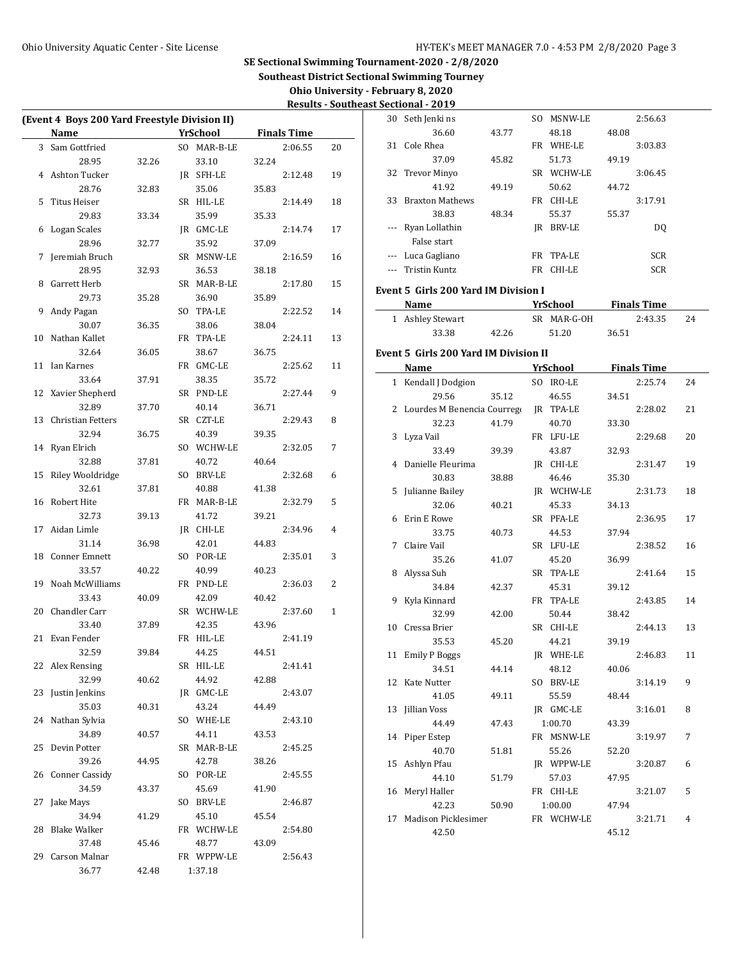$\overline{a}$ 

30 Seth Jenki ns SO MSNW-LE 2:56.63 36.60 43.77 48.18 48.08

**SE Sectional Swimming Tournament-2020 - 2/8/2020**

**Southeast District Sectional Swimming Tourney**

**Ohio University - February 8, 2020**

|                                               |       |                 |       |                    |              |          | <b>Results - Southeast Sectional - 2019</b> |
|-----------------------------------------------|-------|-----------------|-------|--------------------|--------------|----------|---------------------------------------------|
| (Event 4 Boys 200 Yard Freestyle Division II) |       |                 |       |                    |              |          | 30 Seth Jenkins                             |
| <b>Name</b>                                   |       | <b>YrSchool</b> |       | <b>Finals Time</b> |              |          | 36.60                                       |
| 3 Sam Gottfried                               |       | SO MAR-B-LE     |       | 2:06.55            | 20           |          | 31 Cole Rhea                                |
| 28.95                                         | 32.26 | 33.10           | 32.24 |                    |              |          | 37.09                                       |
| 4 Ashton Tucker                               |       | IR SFH-LE       |       | 2:12.48            | 19           |          | 32 Trevor Minyo                             |
| 28.76                                         | 32.83 | 35.06           | 35.83 |                    |              |          | 41.92                                       |
| 5 Titus Heiser                                |       | SR HIL-LE       |       | 2:14.49            | 18           |          | 33 Braxton Math                             |
| 29.83                                         | 33.34 | 35.99           | 35.33 |                    |              |          | 38.83                                       |
| 6 Logan Scales                                |       | JR GMC-LE       |       | 2:14.74            | 17           |          | --- Ryan Lollathi                           |
| 28.96                                         | 32.77 | 35.92           | 37.09 |                    |              |          | False start                                 |
| 7 Jeremiah Bruch                              |       | SR MSNW-LE      |       | 2:16.59            | 16           |          | --- Luca Gaglian                            |
| 28.95                                         | 32.93 | 36.53           | 38.18 |                    |              | $\cdots$ | <b>Tristin Kuntz</b>                        |
| 8 Garrett Herb                                |       | SR MAR-B-LE     |       | 2:17.80            | 15           |          | Event 5 Girls 200                           |
| 29.73                                         | 35.28 | 36.90           | 35.89 |                    |              |          |                                             |
| 9 Andy Pagan                                  |       | SO TPA-LE       |       | 2:22.52            | 14           |          | Name                                        |
| 30.07                                         | 36.35 | 38.06           | 38.04 |                    |              |          | 1 Ashley Stewa                              |
| 10 Nathan Kallet                              |       | FR TPA-LE       |       | 2:24.11            | 13           |          | 33.38                                       |
| 32.64                                         | 36.05 | 38.67           | 36.75 |                    |              |          | Event 5 Girls 200                           |
| 11 Ian Karnes                                 |       | FR GMC-LE       |       | 2:25.62            | 11           |          | Name                                        |
| 33.64                                         | 37.91 | 38.35           | 35.72 |                    |              |          | 1 Kendall J Doc                             |
| 12 Xavier Shepherd                            |       | SR PND-LE       |       | 2:27.44            | 9            |          | 29.56                                       |
| 32.89                                         | 37.70 | 40.14           | 36.71 |                    |              |          | 2 Lourdes M Be                              |
| 13 Christian Fetters                          |       | SR CZT-LE       |       | 2:29.43            | 8            |          | 32.23                                       |
| 32.94                                         | 36.75 | 40.39           | 39.35 |                    |              |          | 3 Lyza Vail                                 |
| 14 Ryan Elrich                                |       | SO WCHW-LE      |       | 2:32.05            | 7            |          | 33.49                                       |
| 32.88                                         | 37.81 | 40.72           | 40.64 |                    |              |          | 4 Danielle Fleu                             |
| 15 Riley Wooldridge                           |       | SO BRV-LE       |       | 2:32.68            | 6            |          | 30.83                                       |
| 32.61                                         | 37.81 | 40.88           | 41.38 |                    |              |          | 5 Julianne Baile                            |
| 16 Robert Hite                                |       | FR MAR-B-LE     |       | 2:32.79            | 5            |          | 32.06                                       |
| 32.73                                         | 39.13 | 41.72           | 39.21 |                    |              |          | 6 Erin E Rowe                               |
| 17 Aidan Limle                                |       | JR CHI-LE       |       | 2:34.96            | 4            |          | 33.75                                       |
| 31.14                                         | 36.98 | 42.01           | 44.83 |                    |              |          | 7 Claire Vail                               |
| 18 Conner Emnett                              |       | SO POR-LE       |       | 2:35.01            | 3            |          | 35.26                                       |
| 33.57                                         | 40.22 | 40.99           | 40.23 |                    |              |          | 8 Alyssa Suh                                |
| 19 Noah McWilliams                            |       | FR PND-LE       |       | 2:36.03            | 2            |          | 34.84                                       |
| 33.43                                         | 40.09 | 42.09           | 40.42 |                    |              |          | 9 Kyla Kinnard                              |
| 20 Chandler Carr                              |       | SR WCHW-LE      |       | 2:37.60            | $\mathbf{1}$ |          | 32.99                                       |
| 33.40                                         | 37.89 | 42.35           | 43.96 |                    |              |          | 10 Cressa Brier                             |
| 21 Evan Fender                                |       | FR HIL-LE       |       | 2:41.19            |              |          | 35.53                                       |
| 32.59                                         | 39.84 | 44.25           | 44.51 |                    |              |          | 11 Emily P Bogg                             |
| 22 Alex Rensing                               |       | SR HIL-LE       |       | 2:41.41            |              |          | 34.51                                       |
| 32.99                                         | 40.62 | 44.92           | 42.88 |                    |              |          | 12 Kate Nutter                              |
| 23 Justin Jenkins                             |       | JR GMC-LE       |       | 2:43.07            |              |          | 41.05                                       |
| 35.03                                         | 40.31 | 43.24           | 44.49 |                    |              |          | 13 Jillian Voss                             |
| 24 Nathan Sylvia                              |       | SO WHE-LE       |       | 2:43.10            |              |          | 44.49                                       |
| 34.89                                         | 40.57 | 44.11           | 43.53 |                    |              |          | 14 Piper Estep                              |
| 25 Devin Potter                               |       | SR MAR-B-LE     |       | 2:45.25            |              |          | 40.70                                       |
| 39.26                                         | 44.95 | 42.78           | 38.26 |                    |              |          | 15 Ashlyn Pfau                              |
| 26 Conner Cassidy                             |       | SO POR-LE       |       | 2:45.55            |              |          | 44.10                                       |
| 34.59                                         | 43.37 | 45.69           | 41.90 |                    |              |          | 16 Meryl Haller                             |
| 27 Jake Mays                                  |       | SO BRV-LE       |       | 2:46.87            |              |          |                                             |
| 34.94                                         | 41.29 | 45.10           | 45.54 |                    |              |          | 42.23                                       |
| 28 Blake Walker                               |       | FR WCHW-LE      |       | 2:54.80            |              |          | 17 Madison Pick                             |
| 37.48                                         | 45.46 | 48.77           | 43.09 |                    |              |          | 42.50                                       |
| 29 Carson Malnar                              |       | FR WPPW-LE      |       | 2:56.43            |              |          |                                             |
| 36.77                                         | 42.48 | 1:37.18         |       |                    |              |          |                                             |

|                      | 31 Cole Rhea                           |       | FR WHE-LE       |       | 3:03.83            |    |
|----------------------|----------------------------------------|-------|-----------------|-------|--------------------|----|
|                      | 37.09                                  | 45.82 | 51.73           | 49.19 |                    |    |
| 32                   | <b>Trevor Minyo</b>                    |       | SR WCHW-LE      |       | 3:06.45            |    |
|                      | 41.92                                  | 49.19 | 50.62           | 44.72 |                    |    |
| 33                   | <b>Braxton Mathews</b>                 |       | FR CHI-LE       |       | 3:17.91            |    |
|                      | 38.83                                  | 48.34 | 55.37           | 55.37 |                    |    |
| ---                  | Ryan Lollathin                         |       | JR BRV-LE       |       | DQ                 |    |
|                      | False start                            |       |                 |       |                    |    |
|                      | --- Luca Gagliano                      |       | FR TPA-LE       |       | SCR                |    |
| $\sim$ $\sim$ $\sim$ | <b>Tristin Kuntz</b>                   |       | FR CHI-LE       |       | <b>SCR</b>         |    |
|                      |                                        |       |                 |       |                    |    |
|                      | Event 5 Girls 200 Yard IM Division I   |       |                 |       |                    |    |
|                      | <b>Name</b>                            |       | <b>YrSchool</b> |       | <b>Finals Time</b> |    |
|                      | 1 Ashley Stewart                       |       | SR MAR-G-OH     |       | 2:43.35            | 24 |
|                      | 33.38                                  | 42.26 | 51.20           | 36.51 |                    |    |
|                      | Event 5  Girls 200 Yard IM Division II |       |                 |       |                    |    |
|                      | Name                                   |       | YrSchool        |       | <b>Finals Time</b> |    |
|                      | 1 Kendall J Dodgion                    |       | SO IRO-LE       |       | 2:25.74            | 24 |
|                      | 29.56                                  | 35.12 | 46.55           | 34.51 |                    |    |
| 2                    | Lourdes M Benencia Courrego            |       | JR TPA-LE       |       | 2:28.02            | 21 |
|                      | 32.23                                  | 41.79 | 40.70           | 33.30 |                    |    |
| 3                    | Lyza Vail                              |       | FR LFU-LE       |       | 2:29.68            | 20 |
|                      | 33.49                                  | 39.39 | 43.87           | 32.93 |                    |    |
| 4                    | Danielle Fleurima                      |       | JR CHI-LE       |       | 2:31.47            | 19 |
|                      | 30.83                                  | 38.88 | 46.46           | 35.30 |                    |    |
| 5                    | Julianne Bailey                        |       | JR WCHW-LE      |       | 2:31.73            | 18 |
|                      | 32.06                                  | 40.21 | 45.33           | 34.13 |                    |    |
| 6                    | Erin E Rowe                            |       | SR PFA-LE       |       | 2:36.95            | 17 |
|                      | 33.75                                  | 40.73 | 44.53           | 37.94 |                    |    |
| 7                    | Claire Vail                            |       | SR LFU-LE       |       | 2:38.52            | 16 |
|                      | 35.26                                  | 41.07 | 45.20           | 36.99 |                    |    |
| 8                    | Alyssa Suh                             |       | SR TPA-LE       |       | 2:41.64            | 15 |
|                      | 34.84                                  | 42.37 | 45.31           | 39.12 |                    |    |
| 9                    | Kyla Kinnard                           |       | FR TPA-LE       |       | 2:43.85            | 14 |
|                      | 32.99                                  | 42.00 | 50.44           | 38.42 |                    |    |
| 10                   | Cressa Brier                           |       | SR CHI-LE       |       | 2:44.13            | 13 |
|                      | 35.53                                  | 45.20 | 44.21           | 39.19 |                    |    |
| 11                   | <b>Emily P Boggs</b>                   |       | JR WHE-LE       |       | 2:46.83            | 11 |
|                      | 34.51                                  | 44.14 | 48.12           | 40.06 |                    |    |
|                      | 12 Kate Nutter                         |       | SO BRV-LE       |       | 3:14.19            | 9  |
|                      | 41.05                                  | 49.11 | 55.59           | 48.44 |                    |    |
| 13                   | Jillian Voss                           |       | JR GMC-LE       |       | 3:16.01            | 8  |
|                      | 44.49                                  | 47.43 | 1:00.70         | 43.39 |                    |    |
| 14                   | Piper Estep                            |       | FR MSNW-LE      |       | 3:19.97            | 7  |
|                      | 40.70                                  | 51.81 | 55.26           | 52.20 |                    |    |
| 15                   | Ashlyn Pfau                            |       | JR WPPW-LE      |       | 3:20.87            | 6  |
|                      | 44.10                                  | 51.79 | 57.03           | 47.95 |                    |    |
| 16                   | Meryl Haller                           |       | FR CHI-LE       |       | 3:21.07            | 5  |
|                      | 42.23                                  | 50.90 | 1:00.00         | 47.94 |                    |    |
| 17                   | Madison Picklesimer                    |       | FR WCHW-LE      |       | 3:21.71            | 4  |
|                      | 42.50                                  |       |                 | 45.12 |                    |    |
|                      |                                        |       |                 |       |                    |    |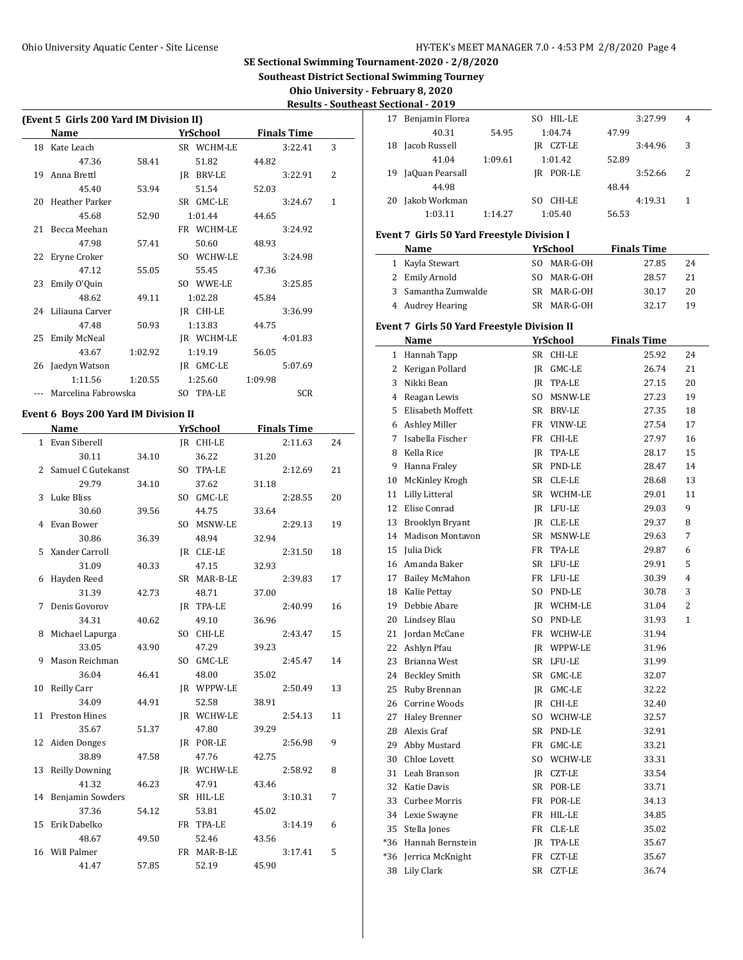**Southeast District Sectional Swimming Tourney**

 $\frac{1}{2}$ 

 $\overline{\phantom{a}}$ 

**Ohio University - February 8, 2020**

| <b>Results - Southeast Sectional - 2019</b> |
|---------------------------------------------|
|                                             |

| (Event 5 Girls 200 Yard IM Division II) |         |            |         |                    |   |
|-----------------------------------------|---------|------------|---------|--------------------|---|
| Name                                    |         | YrSchool   |         | <b>Finals Time</b> |   |
| 18 Kate Leach                           |         | SR WCHM-LE |         | 3:22.41            | 3 |
| 47.36                                   | 58.41   | 51.82      | 44.82   |                    |   |
| 19 Anna Brettl                          |         | IR BRV-LE  |         | 3:22.91            | 2 |
| 45.40                                   | 53.94   | 51.54      | 52.03   |                    |   |
| 20 Heather Parker                       |         | SR GMC-LE  |         | 3:24.67            | 1 |
| 45.68                                   | 52.90   | 1:01.44    | 44.65   |                    |   |
| 21 Becca Meehan                         |         | FR WCHM-LE |         | 3:24.92            |   |
| 47.98                                   | 57.41   | 50.60      | 48.93   |                    |   |
| 22 Eryne Croker                         |         | SO WCHW-LE |         | 3:24.98            |   |
| 47.12                                   | 55.05   | 55.45      | 47.36   |                    |   |
| 23 Emily O'Quin                         |         | SO WWE-LE  |         | 3:25.85            |   |
| 48.62                                   | 49.11   | 1:02.28    | 45.84   |                    |   |
| 24 Liliauna Carver                      |         | JR CHI-LE  |         | 3:36.99            |   |
| 47.48                                   | 50.93   | 1:13.83    | 44.75   |                    |   |
| 25 Emily McNeal                         |         | JR WCHM-LE |         | 4:01.83            |   |
| 43.67                                   | 1:02.92 | 1:19.19    | 56.05   |                    |   |
| 26 Jaedyn Watson                        |         | IR GMC-LE  |         | 5:07.69            |   |
| 1:11.56                                 | 1:20.55 | 1:25.60    | 1:09.98 |                    |   |
| Marcelina Fabrowska                     |         | SO TPA-LE  |         | <b>SCR</b>         |   |

# **Event 6 Boys 200 Yard IM Division II**

|    | Name                  |       | YrSchool    |       | <b>Finals Time</b> |    |
|----|-----------------------|-------|-------------|-------|--------------------|----|
|    | 1 Evan Siberell       |       | JR CHI-LE   |       | 2:11.63            | 24 |
|    | 30.11                 | 34.10 | 36.22       | 31.20 |                    |    |
|    | 2 Samuel C Gutekanst  |       | SO TPA-LE   |       | 2:12.69            | 21 |
|    | 29.79                 | 34.10 | 37.62       | 31.18 |                    |    |
|    | 3 Luke Bliss          |       | SO GMC-LE   |       | 2:28.55            | 20 |
|    | 30.60                 | 39.56 | 44.75       | 33.64 |                    |    |
|    | 4 Evan Bower          |       | SO MSNW-LE  |       | 2:29.13            | 19 |
|    | 30.86                 | 36.39 | 48.94       | 32.94 |                    |    |
|    | 5 Xander Carroll      |       | IR CLE-LE   |       | 2:31.50            | 18 |
|    | 31.09                 | 40.33 | 47.15       | 32.93 |                    |    |
|    | 6 Hayden Reed         |       | SR MAR-B-LE |       | 2:39.83            | 17 |
|    | 31.39                 | 42.73 | 48.71       | 37.00 |                    |    |
| 7  | Denis Govorov         |       | IR TPA-LE   |       | 2:40.99            | 16 |
|    | 34.31                 | 40.62 | 49.10       | 36.96 |                    |    |
|    | 8 Michael Lapurga     |       | SO CHI-LE   |       | 2:43.47            | 15 |
|    | 33.05                 | 43.90 | 47.29       | 39.23 |                    |    |
|    | 9 Mason Reichman      |       | SO GMC-LE   |       | 2:45.47            | 14 |
|    | 36.04                 | 46.41 | 48.00       | 35.02 |                    |    |
| 10 | Reilly Carr           |       | IR WPPW-LE  |       | 2:50.49            | 13 |
|    | 34.09                 | 44.91 | 52.58       | 38.91 |                    |    |
| 11 | <b>Preston Hines</b>  |       | IR WCHW-LE  |       | 2:54.13            | 11 |
|    | 35.67                 | 51.37 | 47.80       | 39.29 |                    |    |
|    | 12 Aiden Donges       |       | IR POR-LE   |       | 2:56.98            | 9  |
|    | 38.89                 | 47.58 | 47.76       | 42.75 |                    |    |
| 13 | <b>Reilly Downing</b> |       | IR WCHW-LE  |       | 2:58.92            | 8  |
|    | 41.32                 | 46.23 | 47.91       | 43.46 |                    |    |
|    | 14 Benjamin Sowders   |       | SR HIL-LE   |       | 3:10.31            | 7  |
|    | 37.36                 | 54.12 | 53.81       | 45.02 |                    |    |
| 15 | Erik Dabelko          |       | FR TPA-LE   |       | 3:14.19            | 6  |
|    | 48.67                 | 49.50 | 52.46       | 43.56 |                    |    |
|    | 16 Will Palmer        |       | FR MAR-B-LE |       | 3:17.41            | 5  |
|    | 41.47                 | 57.85 | 52.19       | 45.90 |                    |    |

|    | occuonai<br>- 2017 |         |               |       |         |                |
|----|--------------------|---------|---------------|-------|---------|----------------|
| 17 | Benjamin Florea    |         | SO HIL-LE     |       | 3:27.99 | $\overline{4}$ |
|    | 40.31              | 54.95   | 1:04.74       | 47.99 |         |                |
| 18 | Jacob Russell      |         | CZT-LE<br>IR  |       | 3:44.96 | 3              |
|    | 41.04              | 1:09.61 | 1:01.42       | 52.89 |         |                |
| 19 | JaQuan Pearsall    |         | IR POR-LE     |       | 3:52.66 | 2              |
|    | 44.98              |         |               | 48.44 |         |                |
| 20 | Jakob Workman      |         | CHI-LE<br>SO. |       | 4:19.31 | 1              |
|    | 1:03.11            | 1:14.27 | 1:05.40       | 56.53 |         |                |
|    |                    |         |               |       |         |                |

## **Event 7 Girls 50 Yard Freestyle Division I**

| Name                | YrSchool    | <b>Finals Time</b> |    |
|---------------------|-------------|--------------------|----|
| 1 Kayla Stewart     | SO MAR-G-OH | 27.85              | 24 |
| 2 Emily Arnold      | SO MAR-G-OH | 28.57              | 21 |
| 3 Samantha Zumwalde | SR MAR-G-OH | 30.17              | 20 |
| 4 Audrey Hearing    | SR MAR-G-OH | 3217               | 19 |

# **Event 7 Girls 50 Yard Freestyle Division II**

|              | Name                    |                | YrSchool      | <b>Finals Time</b> |    |
|--------------|-------------------------|----------------|---------------|--------------------|----|
| $\mathbf{1}$ | Hannah Tapp             | <b>SR</b>      | CHI-LE        | 25.92              | 24 |
| 2            | Kerigan Pollard         | IR             | GMC-LE        | 26.74              | 21 |
| 3            | Nikki Bean              | IR             | TPA-LE        | 27.15              | 20 |
| 4            | Reagan Lewis            | SO.            | MSNW-LE       | 27.23              | 19 |
| 5            | Elisabeth Moffett       | SR             | <b>BRV-LE</b> | 27.35              | 18 |
| 6            | Ashley Miller           | FR             | VINW-LE       | 27.54              | 17 |
| 7            | Isabella Fischer        | <b>FR</b>      | CHI-LE        | 27.97              | 16 |
| 8            | Kella Rice              | IR.            | TPA-LE        | 28.17              | 15 |
| 9            | Hanna Fraley            | SR             | PND-LE        | 28.47              | 14 |
| 10           | McKinley Krogh          | SR             | CLE-LE        | 28.68              | 13 |
| 11           | Lilly Litteral          |                | SR WCHM-LE    | 29.01              | 11 |
| 12           | Elise Conrad            |                | IR LFU-LE     | 29.03              | 9  |
| 13           | Brooklyn Bryant         |                | IR CLE-LE     | 29.37              | 8  |
| 14           | <b>Madison Montavon</b> | SR             | MSNW-LE       | 29.63              | 7  |
| 15           | Julia Dick              | <b>FR</b>      | TPA-LE        | 29.87              | 6  |
| 16           | Amanda Baker            | SR             | LFU-LE        | 29.91              | 5  |
| 17           | <b>Bailey McMahon</b>   | FR             | LFU-LE        | 30.39              | 4  |
| 18           | Kalie Pettay            | S <sub>O</sub> | PND-LE        | 30.78              | 3  |
| 19           | Debbie Abare            |                | IR WCHM-LE    | 31.04              | 2  |
| 20           | Lindsey Blau            | SO.            | PND-LE        | 31.93              | 1  |
| 21           | Jordan McCane           |                | FR WCHW-LE    | 31.94              |    |
| 22           | Ashlyn Pfau             | IR             | WPPW-LE       | 31.96              |    |
| 23           | Brianna West            | <b>SR</b>      | LFU-LE        | 31.99              |    |
| 24           | <b>Beckley Smith</b>    | SR             | GMC-LE        | 32.07              |    |
| 25           | Ruby Brennan            | IR.            | GMC-LE        | 32.22              |    |
| 26           | Corrine Woods           |                | IR CHI-LE     | 32.40              |    |
| 27           | <b>Haley Brenner</b>    |                | SO WCHW-LE    | 32.57              |    |
| 28           | Alexis Graf             |                | SR PND-LE     | 32.91              |    |
| 29           | Abby Mustard            | FR             | GMC-LE        | 33.21              |    |
| 30           | Chloe Lovett            | S <sub>O</sub> | WCHW-LE       | 33.31              |    |
| 31           | Leah Branson            | JR             | CZT-LE        | 33.54              |    |
| 32           | Katie Davis             | SR             | POR-LE        | 33.71              |    |
| 33           | Curbee Morris           | FR             | POR-LE        | 34.13              |    |
| 34           | Lexie Swayne            | FR             | HIL-LE        | 34.85              |    |
| 35           | Stella Jones            | FR             | CLE-LE        | 35.02              |    |
| *36          | Hannah Bernstein        | IR             | TPA-LE        | 35.67              |    |
| *36          | Jerrica McKnight        | FR             | CZT-LE        | 35.67              |    |
| 38           | Lily Clark              | SR             | CZT-LE        | 36.74              |    |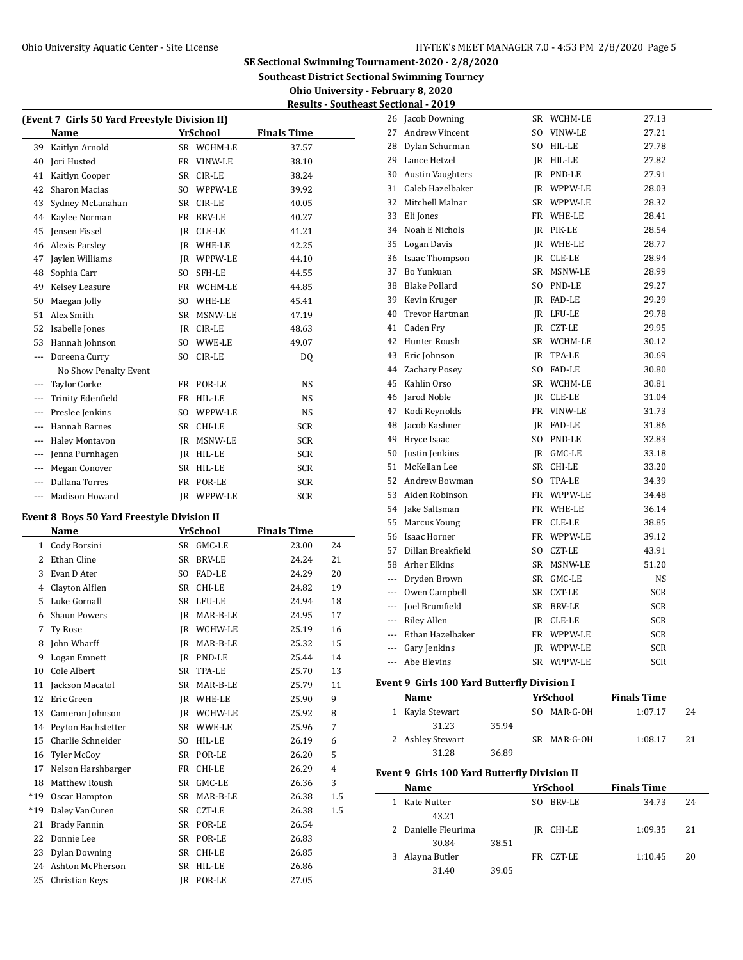**Southeast District Sectional Swimming Tourney**

**Ohio University - February 8, 2020 Results - Southeast Sectional - 2019**

|         | (Event 7 Girls 50 Yard Freestyle Division II) |                |               |                    |  |  |  |  |
|---------|-----------------------------------------------|----------------|---------------|--------------------|--|--|--|--|
|         | Name                                          |                | YrSchool      | <b>Finals Time</b> |  |  |  |  |
| 39      | Kaitlyn Arnold                                |                | SR WCHM-LE    | 37.57              |  |  |  |  |
| 40      | Jori Husted                                   | FR             | VINW-LE       | 38.10              |  |  |  |  |
| 41      | Kaitlyn Cooper                                | SR.            | CIR-LE        | 38.24              |  |  |  |  |
| 42      | <b>Sharon Macias</b>                          | SO.            | WPPW-LE       | 39.92              |  |  |  |  |
| 43      | Sydney McLanahan                              | <b>SR</b>      | CIR-LE        | 40.05              |  |  |  |  |
| 44      | Kaylee Norman                                 | FR             | <b>BRV-LE</b> | 40.27              |  |  |  |  |
| 45      | Jensen Fissel                                 | <b>IR</b>      | CLE-LE        | 41.21              |  |  |  |  |
| 46      | <b>Alexis Parsley</b>                         | IR             | WHE-LE        | 42.25              |  |  |  |  |
| 47      | Jaylen Williams                               | IR             | WPPW-LE       | 44.10              |  |  |  |  |
| 48      | Sophia Carr                                   | SO.            | SFH-LE        | 44.55              |  |  |  |  |
| 49      | Kelsey Leasure                                | FR             | WCHM-LE       | 44.85              |  |  |  |  |
| 50      | Maegan Jolly                                  | S <sub>O</sub> | WHE-LE        | 45.41              |  |  |  |  |
| 51      | Alex Smith                                    | <b>SR</b>      | MSNW-LE       | 47.19              |  |  |  |  |
| 52      | Isabelle Jones                                | IR             | CIR-LE        | 48.63              |  |  |  |  |
| 53      | Hannah Johnson                                | SO.            | WWE-LE        | 49.07              |  |  |  |  |
| ---     | Doreena Curry                                 | S <sub>O</sub> | CIR-LE        | DQ                 |  |  |  |  |
|         | No Show Penalty Event                         |                |               |                    |  |  |  |  |
| ---     | <b>Taylor Corke</b>                           | FR             | POR-LE        | <b>NS</b>          |  |  |  |  |
| $---$   | Trinity Edenfield                             | FR             | HIL-LE        | <b>NS</b>          |  |  |  |  |
| $- - -$ | Preslee Jenkins                               | S <sub>O</sub> | WPPW-LE       | <b>NS</b>          |  |  |  |  |
| $- - -$ | <b>Hannah Barnes</b>                          | <b>SR</b>      | CHI-LE        | <b>SCR</b>         |  |  |  |  |
| $---$   | <b>Haley Montavon</b>                         | IR             | MSNW-LE       | <b>SCR</b>         |  |  |  |  |
| $---$   | Jenna Purnhagen                               | <b>IR</b>      | HIL-LE        | <b>SCR</b>         |  |  |  |  |
| $---$   | Megan Conover                                 | <b>SR</b>      | HIL-LE        | <b>SCR</b>         |  |  |  |  |
| $- - -$ | Dallana Torres                                | FR             | POR-LE        | SCR                |  |  |  |  |
| $---$   | <b>Madison Howard</b>                         | <b>IR</b>      | WPPW-LE       | <b>SCR</b>         |  |  |  |  |

#### **Event 8 Boys 50 Yard Freestyle Division II**

|       | Name                 |                | YrSchool      | <b>Finals Time</b> |                |
|-------|----------------------|----------------|---------------|--------------------|----------------|
| 1     | Cody Borsini         | <b>SR</b>      | GMC-LE        | 23.00              | 24             |
| 2     | Ethan Cline          | <b>SR</b>      | <b>BRV-LE</b> | 24.24              | 21             |
| 3     | Evan D Ater          | S <sub>O</sub> | <b>FAD-LE</b> | 24.29              | 20             |
| 4     | Clayton Alflen       | <b>SR</b>      | CHI-LE        | 24.82              | 19             |
| 5     | Luke Gornall         | <b>SR</b>      | LFU-LE        | 24.94              | 18             |
| 6     | <b>Shaun Powers</b>  | IR             | MAR-B-LE      | 24.95              | 17             |
| 7     | Ty Rose              | IR             | WCHW-LE       | 25.19              | 16             |
| 8     | John Wharff          | IR             | MAR-B-LE      | 25.32              | 15             |
| 9     | Logan Emnett         | JR.            | PND-LE        | 25.44              | 14             |
| 10    | Cole Albert          | <b>SR</b>      | TPA-LE        | 25.70              | 13             |
| 11    | Jackson Macatol      | <b>SR</b>      | MAR-B-LE      | 25.79              | 11             |
| 12    | Eric Green           | <b>IR</b>      | WHE-LE        | 25.90              | 9              |
| 13    | Cameron Johnson      | IR             | WCHW-LE       | 25.92              | 8              |
| 14    | Peyton Bachstetter   | SR             | WWE-LE        | 25.96              | 7              |
| 15    | Charlie Schneider    | S <sub>O</sub> | HIL-LE        | 26.19              | 6              |
| 16    | <b>Tyler McCoy</b>   | <b>SR</b>      | POR-LE        | 26.20              | 5              |
| 17    | Nelson Harshbarger   | FR             | CHI-LE        | 26.29              | $\overline{4}$ |
| 18    | Matthew Roush        | <b>SR</b>      | GMC-LE        | 26.36              | 3              |
| $*19$ | Oscar Hampton        | <b>SR</b>      | MAR-B-LE      | 26.38              | 1.5            |
| $*19$ | Daley VanCuren       | <b>SR</b>      | <b>CZT-LE</b> | 26.38              | $1.5\,$        |
| 21    | Brady Fannin         | SR             | POR-LE        | 26.54              |                |
| 22    | Donnie Lee           | <b>SR</b>      | POR-LE        | 26.83              |                |
| 23    | <b>Dylan Downing</b> | <b>SR</b>      | CHI-LE        | 26.85              |                |
| 24    | Ashton McPherson     | <b>SR</b>      | HIL-LE        | 26.86              |                |
| 25    | Christian Keys       | IR             | POR-LE        | 27.05              |                |

| 26             | Jacob Downing           | SR  | WCHM-LE           | 27.13      |
|----------------|-------------------------|-----|-------------------|------------|
| 27             | Andrew Vincent          | SO. | VINW-LE           | 27.21      |
| 28             | Dylan Schurman          |     | SO HIL-LE         | 27.78      |
| 29             | Lance Hetzel            |     | IR HIL-LE         | 27.82      |
| 30             | <b>Austin Vaughters</b> |     | IR PND-LE         | 27.91      |
| 31             | Caleb Hazelbaker        |     | IR WPPW-LE        | 28.03      |
| 32             | Mitchell Malnar         |     | SR WPPW-LE        | 28.32      |
| 33             | Eli Jones               |     | FR WHE-LE         | 28.41      |
| 34             | Noah E Nichols          |     | IR PIK-LE         | 28.54      |
| 35             | Logan Davis             |     | IR WHE-LE         | 28.77      |
| 36             | <b>Isaac Thompson</b>   |     | IR CLE-LE         | 28.94      |
| 37             | <b>Bo Yunkuan</b>       |     | SR MSNW-LE        | 28.99      |
| 38             | Blake Pollard           |     | SO PND-LE         | 29.27      |
| 39             | Kevin Kruger            |     | IR FAD-LE         | 29.29      |
| 40             | Trevor Hartman          |     | IR LFU-LE         | 29.78      |
| 41             | Caden Fry               |     | IR CZT-LE         | 29.95      |
| 42             | Hunter Roush            |     | SR WCHM-LE        | 30.12      |
| 43             | Eric Johnson            |     | IR TPA-LE         | 30.69      |
| 44             | <b>Zachary Posey</b>    |     | SO FAD-LE         | 30.80      |
| 45             | Kahlin Orso             |     | SR WCHM-LE        | 30.81      |
| 46             | Jarod Noble             |     | JR CLE-LE         | 31.04      |
| 47             | Kodi Reynolds           |     | FR VINW-LE        | 31.73      |
| 48             | Jacob Kashner           |     | IR FAD-LE         | 31.86      |
| 49             | Bryce Isaac             |     | SO PND-LE         | 32.83      |
| 50             | Justin Jenkins          |     | JR GMC-LE         | 33.18      |
| 51             | McKellan Lee            |     | SR CHI-LE         | 33.20      |
| 52             | Andrew Bowman           | SO. | TPA-LE            | 34.39      |
| 53             | Aiden Robinson          |     | FR WPPW-LE        | 34.48      |
| 54             | Jake Saltsman           |     | FR WHE-LE         | 36.14      |
| 55             | Marcus Young            |     | FR CLE-LE         | 38.85      |
| 56             | Isaac Horner            | FR  | WPPW-LE           | 39.12      |
| 57             | Dillan Breakfield       | SO. | CZT-LE            | 43.91      |
| 58             | Arher Elkins            |     | SR MSNW-LE        | 51.20      |
| ---            | Dryden Brown            |     | SR GMC-LE         | NS         |
| ---            | Owen Campbell           |     | SR CZT-LE         | <b>SCR</b> |
| ---            | Joel Brumfield          |     | SR BRV-LE         | <b>SCR</b> |
| ---            | Riley Allen             |     | JR CLE-LE         | <b>SCR</b> |
| ---            | Ethan Hazelbaker        |     | FR WPPW-LE        | <b>SCR</b> |
|                | --- Gary Jenkins        |     | <b>IR WPPW-LE</b> | <b>SCR</b> |
| $\overline{a}$ | Abe Blevins             | SR. | WPPW-LE           | <b>SCR</b> |

## **Event 9 Girls 100 Yard Butterfly Division I**

 $\overline{\phantom{a}}$ 

| Name             |       |     | YrSchool    | <b>Finals Time</b> |    |
|------------------|-------|-----|-------------|--------------------|----|
| 1 Kayla Stewart  |       | SO. | MAR-G-OH    | 1:07.17            | 24 |
| 31.23            | 35.94 |     |             |                    |    |
| 2 Ashley Stewart |       |     | SR MAR-G-OH | 1:08.17            | 21 |
| 31.28            | 36.89 |     |             |                    |    |

## **Event 9 Girls 100 Yard Butterfly Division II**

|    | <b>Name</b>         |       |     | YrSchool | <b>Finals Time</b> |    |
|----|---------------------|-------|-----|----------|--------------------|----|
| 1. | Kate Nutter         |       | SO. | BRV-LE   | 34.73              | 24 |
|    | 43.21               |       |     |          |                    |    |
|    | 2 Danielle Fleurima |       | IR  | CHI-LE   | 1:09.35            | 21 |
|    | 30.84               | 38.51 |     |          |                    |    |
|    | 3 Alayna Butler     |       | FR. | CZT-LE   | 1:10.45            | 20 |
|    | 31.40               | 39.05 |     |          |                    |    |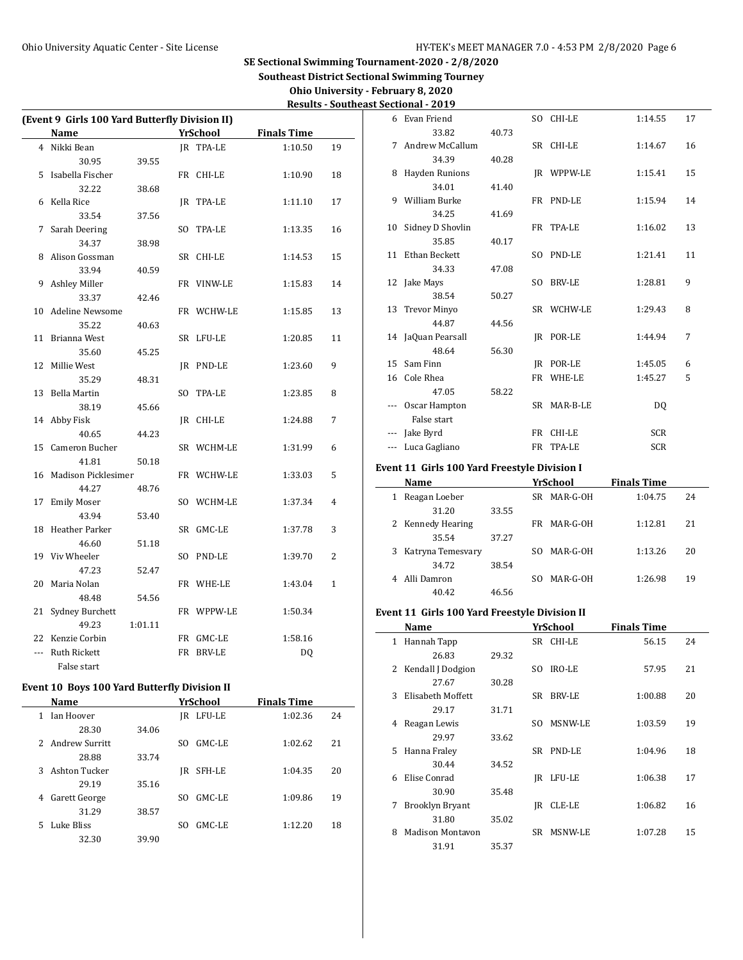**Southeast District Sectional Swimming Tourney**

### **Ohio University - February 8, 2020 Results - Southeast Sectional - 2019**

| (Event 9 Girls 100 Yard Butterfly Division II) |                     |         |  |            |                    |              |  |  |
|------------------------------------------------|---------------------|---------|--|------------|--------------------|--------------|--|--|
|                                                | Name                |         |  | YrSchool   | <b>Finals Time</b> |              |  |  |
|                                                | 4 Nikki Bean        |         |  | IR TPA-LE  | 1:10.50            | 19           |  |  |
|                                                | 30.95               | 39.55   |  |            |                    |              |  |  |
|                                                | 5 Isabella Fischer  |         |  | FR CHI-LE  | 1:10.90            | 18           |  |  |
|                                                | 32.22               | 38.68   |  |            |                    |              |  |  |
| 6                                              | Kella Rice          |         |  | JR TPA-LE  | 1:11.10            | 17           |  |  |
|                                                | 33.54               | 37.56   |  |            |                    |              |  |  |
| 7                                              | Sarah Deering       |         |  | SO TPA-LE  | 1:13.35            | 16           |  |  |
|                                                | 34.37               | 38.98   |  |            |                    |              |  |  |
| 8                                              | Alison Gossman      |         |  | SR CHI-LE  | 1:14.53            | 15           |  |  |
|                                                | 33.94               | 40.59   |  |            |                    |              |  |  |
| 9                                              | Ashley Miller       |         |  | FR VINW-LE | 1:15.83            | 14           |  |  |
|                                                | 33.37               | 42.46   |  |            |                    |              |  |  |
|                                                | 10 Adeline Newsome  |         |  | FR WCHW-LE | 1:15.85            | 13           |  |  |
|                                                | 35.22               | 40.63   |  |            |                    |              |  |  |
| 11                                             | Brianna West        |         |  | SR LFU-LE  | 1:20.85            | 11           |  |  |
|                                                | 35.60               | 45.25   |  |            |                    |              |  |  |
| 12                                             | Millie West         |         |  | JR PND-LE  | 1:23.60            | 9            |  |  |
|                                                | 35.29               | 48.31   |  |            |                    |              |  |  |
| 13                                             | <b>Bella Martin</b> |         |  | SO TPA-LE  | 1:23.85            | 8            |  |  |
|                                                | 38.19               | 45.66   |  |            |                    |              |  |  |
| 14                                             | Abby Fisk           |         |  | JR CHI-LE  | 1:24.88            | 7            |  |  |
|                                                | 40.65               | 44.23   |  |            |                    |              |  |  |
| 15                                             | Cameron Bucher      |         |  | SR WCHM-LE | 1:31.99            | 6            |  |  |
|                                                | 41.81               | 50.18   |  |            |                    |              |  |  |
| 16                                             | Madison Picklesimer |         |  | FR WCHW-LE | 1:33.03            | 5            |  |  |
|                                                | 44.27               | 48.76   |  |            |                    |              |  |  |
| 17                                             | <b>Emily Moser</b>  |         |  | SO WCHM-LE | 1:37.34            | 4            |  |  |
|                                                | 43.94               | 53.40   |  |            |                    |              |  |  |
| 18                                             | Heather Parker      |         |  | SR GMC-LE  | 1:37.78            | 3            |  |  |
|                                                | 46.60               | 51.18   |  |            |                    |              |  |  |
| 19                                             | Viv Wheeler         |         |  | SO PND-LE  | 1:39.70            | 2            |  |  |
|                                                | 47.23               | 52.47   |  |            |                    |              |  |  |
| 20                                             | Maria Nolan         |         |  | FR WHE-LE  | 1:43.04            | $\mathbf{1}$ |  |  |
|                                                | 48.48               | 54.56   |  |            |                    |              |  |  |
| 21                                             | Sydney Burchett     |         |  | FR WPPW-LE | 1:50.34            |              |  |  |
|                                                | 49.23               | 1:01.11 |  |            |                    |              |  |  |
| 22                                             | Kenzie Corbin       |         |  | FR GMC-LE  | 1:58.16            |              |  |  |
| $\overline{a}$                                 | Ruth Rickett        |         |  | FR BRV-LE  | DQ                 |              |  |  |
|                                                | False start         |         |  |            |                    |              |  |  |

# **Event 10 Boys 100 Yard Butterfly Division II**

|   | Name           |       |     | YrSchool | <b>Finals Time</b> |    |
|---|----------------|-------|-----|----------|--------------------|----|
|   | Jan Hoover     |       | IR  | LFU-LE   | 1:02.36            | 24 |
|   | 28.30          | 34.06 |     |          |                    |    |
| 2 | Andrew Surritt |       | SO. | GMC-LE   | 1:02.62            | 21 |
|   | 28.88          | 33.74 |     |          |                    |    |
| 3 | Ashton Tucker  |       | IR  | SFH-LE   | 1:04.35            | 20 |
|   | 29.19          | 35.16 |     |          |                    |    |
| 4 | Garett George  |       | SO. | GMC-LE   | 1:09.86            | 19 |
|   | 31.29          | 38.57 |     |          |                    |    |
| 5 | Luke Bliss     |       | SΩ  | GMC-LE   | 1:12.20            | 18 |
|   | 32.30          | 39.90 |     |          |                    |    |

| 6   | Evan Friend         |       |     | SO CHI-LE     | 1:14.55    | 17 |
|-----|---------------------|-------|-----|---------------|------------|----|
|     | 33.82               | 40.73 |     |               |            |    |
| 7   | Andrew McCallum     |       |     | SR CHI-LE     | 1:14.67    | 16 |
|     | 34.39               | 40.28 |     |               |            |    |
| 8   | Hayden Runions      |       |     | IR WPPW-LE    | 1:15.41    | 15 |
|     | 34.01               | 41.40 |     |               |            |    |
| 9   | William Burke       |       |     | FR PND-LE     | 1:15.94    | 14 |
|     | 34.25               | 41.69 |     |               |            |    |
| 10  | Sidney D Shovlin    |       |     | FR TPA-LE     | 1:16.02    | 13 |
|     | 35.85               | 40.17 |     |               |            |    |
| 11  | Ethan Beckett       |       | SO. | PND-LE        | 1:21.41    | 11 |
|     | 34.33               | 47.08 |     |               |            |    |
|     | 12 Jake Mays        |       | SO. | <b>BRV-LE</b> | 1:28.81    | 9  |
|     | 38.54               | 50.27 |     |               |            |    |
| 13  | <b>Trevor Minyo</b> |       |     | SR WCHW-LE    | 1:29.43    | 8  |
|     | 44.87               | 44.56 |     |               |            |    |
|     | 14 JaQuan Pearsall  |       | IR  | POR-LE        | 1:44.94    | 7  |
|     | 48.64               | 56.30 |     |               |            |    |
| 15  | Sam Finn            |       |     | IR POR-LE     | 1:45.05    | 6  |
| 16  | Cole Rhea           |       | FR  | WHE-LE        | 1:45.27    | 5  |
|     | 47.05               | 58.22 |     |               |            |    |
|     | Oscar Hampton       |       |     | SR MAR-B-LE   | DQ         |    |
|     | False start         |       |     |               |            |    |
| --- | Jake Byrd           |       |     | FR CHI-LE     | <b>SCR</b> |    |
|     | --- Luca Gagliano   |       | FR  | TPA-LE        | <b>SCR</b> |    |

### **Event 11 Girls 100 Yard Freestyle Division I**

|   | Name                |       | YrSchool        | <b>Finals Time</b> |    |
|---|---------------------|-------|-----------------|--------------------|----|
| 1 | Reagan Loeber       |       | MAR-G-OH<br>SR. | 1:04.75            | 24 |
|   | 31.20               | 33.55 |                 |                    |    |
|   | 2 Kennedy Hearing   |       | MAR-G-OH<br>FR. | 1:12.81            | 21 |
|   | 35.54               | 37.27 |                 |                    |    |
|   | 3 Katryna Temesvary |       | MAR-G-OH<br>SO. | 1:13.26            | 20 |
|   | 34.72               | 38.54 |                 |                    |    |
|   | Alli Damron         |       | MAR-G-OH<br>SO. | 1:26.98            | 19 |
|   | 40.42               | 46.56 |                 |                    |    |

## **Event 11 Girls 100 Yard Freestyle Division II**

 $\sim$ 

|   | Name                    | YrSchool |     |               |         |    |  |  |
|---|-------------------------|----------|-----|---------------|---------|----|--|--|
| 1 | Hannah Tapp             |          |     | SR CHI-LE     | 56.15   | 24 |  |  |
|   | 26.83                   | 29.32    |     |               |         |    |  |  |
| 2 | Kendall J Dodgion       |          | SO. | IRO-LE        | 57.95   | 21 |  |  |
|   | 27.67                   | 30.28    |     |               |         |    |  |  |
| 3 | Elisabeth Moffett       |          | SR  | <b>BRV-LE</b> | 1:00.88 | 20 |  |  |
|   | 29.17                   | 31.71    |     |               |         |    |  |  |
| 4 | Reagan Lewis            |          | SO. | MSNW-LE       | 1:03.59 | 19 |  |  |
|   | 29.97                   | 33.62    |     |               |         |    |  |  |
| 5 | Hanna Fraley            |          |     | SR PND-LE     | 1:04.96 | 18 |  |  |
|   | 30.44                   | 34.52    |     |               |         |    |  |  |
| 6 | Elise Conrad            |          | IR  | LFU-LE        | 1:06.38 | 17 |  |  |
|   | 30.90                   | 35.48    |     |               |         |    |  |  |
| 7 | Brooklyn Bryant         |          | IR  | CLE-LE        | 1:06.82 | 16 |  |  |
|   | 31.80                   | 35.02    |     |               |         |    |  |  |
| 8 | <b>Madison Montavon</b> |          | SR  | MSNW-LE       | 1:07.28 | 15 |  |  |
|   | 31.91                   | 35.37    |     |               |         |    |  |  |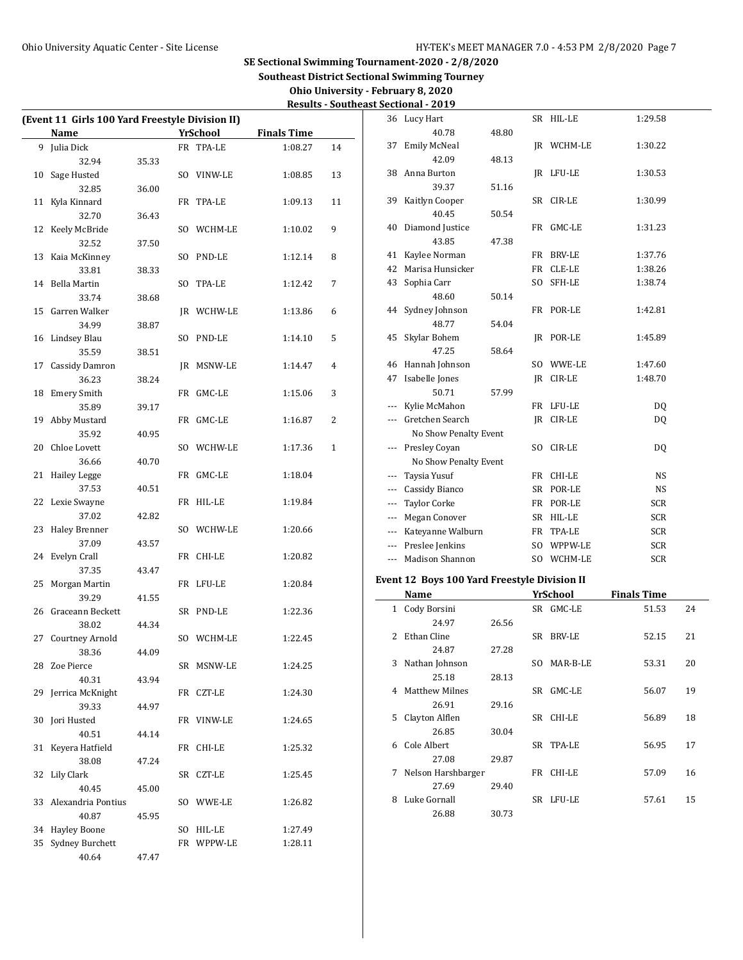| Ohio University - February 8, 2020          |  |
|---------------------------------------------|--|
| <b>Results - Southeast Sectional - 2019</b> |  |

| (Event 11 Girls 100 Yard Freestyle Division II) |       |                 |                    |              |                     | 36 Lucy Hart                                 |       | SR HIL-LE         | 1:29.58            |    |
|-------------------------------------------------|-------|-----------------|--------------------|--------------|---------------------|----------------------------------------------|-------|-------------------|--------------------|----|
| Name                                            |       | <b>YrSchool</b> | <b>Finals Time</b> |              |                     | 40.78                                        | 48.80 |                   |                    |    |
| 9 Julia Dick                                    |       | FR TPA-LE       | 1:08.27            | 14           |                     | 37 Emily McNeal                              |       | <b>IR WCHM-LE</b> | 1:30.22            |    |
| 32.94                                           | 35.33 |                 |                    |              |                     | 42.09                                        | 48.13 |                   |                    |    |
| 10 Sage Husted                                  |       | SO VINW-LE      | 1:08.85            | 13           |                     | 38 Anna Burton                               |       | JR LFU-LE         | 1:30.53            |    |
| 32.85                                           | 36.00 |                 |                    |              |                     | 39.37                                        | 51.16 |                   |                    |    |
| 11 Kyla Kinnard                                 |       | FR TPA-LE       | 1:09.13            | 11           |                     | 39 Kaitlyn Cooper                            |       | SR CIR-LE         | 1:30.99            |    |
| 32.70                                           | 36.43 |                 |                    |              |                     | 40.45                                        | 50.54 |                   |                    |    |
| 12 Keely McBride                                |       | SO WCHM-LE      | 1:10.02            | 9            |                     | 40 Diamond Justice                           |       | FR GMC-LE         | 1:31.23            |    |
| 32.52                                           | 37.50 |                 |                    |              |                     | 43.85                                        | 47.38 |                   |                    |    |
| 13 Kaia McKinney                                |       | SO PND-LE       | 1:12.14            | 8            |                     | 41 Kaylee Norman                             |       | FR BRV-LE         | 1:37.76            |    |
| 33.81                                           | 38.33 |                 |                    |              |                     | 42 Marisa Hunsicker                          |       | FR CLE-LE         | 1:38.26            |    |
| 14 Bella Martin                                 |       | SO TPA-LE       | 1:12.42            | 7            |                     | 43 Sophia Carr                               |       | SO SFH-LE         | 1:38.74            |    |
| 33.74                                           | 38.68 |                 |                    |              |                     | 48.60                                        | 50.14 |                   |                    |    |
| 15 Garren Walker                                |       | JR WCHW-LE      | 1:13.86            | 6            |                     | 44 Sydney Johnson                            |       | FR POR-LE         | 1:42.81            |    |
| 34.99                                           | 38.87 |                 |                    |              |                     | 48.77                                        | 54.04 |                   |                    |    |
| 16 Lindsey Blau                                 |       | SO PND-LE       | 1:14.10            | 5            |                     | 45 Skylar Bohem                              |       | JR POR-LE         | 1:45.89            |    |
| 35.59                                           | 38.51 |                 |                    |              |                     | 47.25                                        | 58.64 |                   |                    |    |
| 17 Cassidy Damron                               |       | JR MSNW-LE      | 1:14.47            | 4            |                     | 46 Hannah Johnson                            |       | SO WWE-LE         | 1:47.60            |    |
| 36.23                                           | 38.24 |                 |                    |              |                     | 47 Isabelle Jones                            |       | JR CIR-LE         | 1:48.70            |    |
| 18 Emery Smith                                  |       | FR GMC-LE       | 1:15.06            | 3            |                     | 50.71                                        | 57.99 |                   |                    |    |
| 35.89                                           | 39.17 |                 |                    |              | $\cdots$            | Kylie McMahon                                |       | FR LFU-LE         | DQ                 |    |
| 19 Abby Mustard                                 |       | FR GMC-LE       | 1:16.87            | 2            |                     | --- Gretchen Search                          |       | JR CIR-LE         | DQ                 |    |
| 35.92                                           | 40.95 |                 |                    |              |                     | No Show Penalty Event                        |       |                   |                    |    |
| 20 Chloe Lovett                                 |       | SO WCHW-LE      | 1:17.36            | $\mathbf{1}$ |                     | --- Presley Coyan                            |       | SO CIR-LE         | DQ                 |    |
| 36.66                                           | 40.70 |                 |                    |              |                     | No Show Penalty Event                        |       |                   |                    |    |
| 21 Hailey Legge                                 |       | FR GMC-LE       | 1:18.04            |              |                     | --- Taysia Yusuf                             |       | FR CHI-LE         | <b>NS</b>          |    |
| 37.53                                           | 40.51 |                 |                    |              | $\qquad \qquad - -$ | Cassidy Bianco                               |       | SR POR-LE         | <b>NS</b>          |    |
| 22 Lexie Swayne                                 |       | FR HIL-LE       | 1:19.84            |              | $\cdots$            | <b>Taylor Corke</b>                          |       | FR POR-LE         | <b>SCR</b>         |    |
| 37.02                                           | 42.82 |                 |                    |              |                     | Megan Conover                                |       | SR HIL-LE         | <b>SCR</b>         |    |
| 23 Haley Brenner                                |       | SO WCHW-LE      | 1:20.66            |              | ---                 | Kateyanne Walburn                            |       | FR TPA-LE         | <b>SCR</b>         |    |
| 37.09                                           | 43.57 |                 |                    |              | $\cdots$            | Preslee Jenkins                              |       | SO WPPW-LE        | <b>SCR</b>         |    |
| 24 Evelyn Crall                                 |       | FR CHI-LE       | 1:20.82            |              |                     | --- Madison Shannon                          |       | SO WCHM-LE        | <b>SCR</b>         |    |
| 37.35                                           | 43.47 |                 |                    |              |                     |                                              |       |                   |                    |    |
| 25 Morgan Martin                                |       | FR LFU-LE       | 1:20.84            |              |                     | Event 12 Boys 100 Yard Freestyle Division II |       |                   |                    |    |
| 39.29                                           | 41.55 |                 |                    |              |                     | Name                                         |       | YrSchool          | <b>Finals Time</b> |    |
| 26 Graceann Beckett                             |       | SR PND-LE       | 1:22.36            |              |                     | 1 Cody Borsini                               |       | SR GMC-LE         | 51.53              | 24 |
| 38.02                                           | 44.34 |                 |                    |              |                     | 24.97                                        | 26.56 |                   |                    |    |
| 27 Courtney Arnold                              |       | SO WCHM-LE      | 1:22.45            |              |                     | 2 Ethan Cline                                |       | SR BRV-LE         | 52.15              | 21 |
| 38.36                                           | 44.09 |                 |                    |              |                     | 24.87                                        | 27.28 |                   |                    |    |
| 28 Zoe Pierce                                   |       | SR MSNW-LE      | 1:24.25            |              |                     | 3 Nathan Johnson                             |       | SO MAR-B-LE       | 53.31              | 20 |
| 40.31                                           | 43.94 |                 |                    |              |                     | 25.18                                        | 28.13 |                   |                    |    |
| 29 Jerrica McKnight                             |       | FR CZT-LE       | 1:24.30            |              |                     | 4 Matthew Milnes                             |       | SR GMC-LE         | 56.07              | 19 |
| 39.33                                           | 44.97 |                 |                    |              |                     | 26.91                                        | 29.16 |                   |                    |    |
| 30 Jori Husted                                  |       | FR VINW-LE      | 1:24.65            |              |                     | 5 Clayton Alflen                             |       | SR CHI-LE         | 56.89              | 18 |
| 40.51                                           | 44.14 |                 |                    |              |                     | 26.85                                        | 30.04 |                   |                    |    |
| 31 Keyera Hatfield                              |       | FR CHI-LE       | 1:25.32            |              |                     | 6 Cole Albert                                |       | SR TPA-LE         | 56.95              | 17 |
| 38.08                                           | 47.24 |                 |                    |              |                     | 27.08                                        | 29.87 |                   |                    |    |
| 32 Lily Clark                                   |       | SR CZT-LE       | 1:25.45            |              |                     | 7 Nelson Harshbarger                         |       | FR CHI-LE         | 57.09              | 16 |
| 40.45                                           | 45.00 |                 |                    |              |                     | 27.69                                        | 29.40 |                   |                    |    |
| 33 Alexandria Pontius                           |       | SO WWE-LE       | 1:26.82            |              |                     | 8 Luke Gornall                               |       | SR LFU-LE         | 57.61              | 15 |
| 40.87                                           | 45.95 |                 |                    |              |                     | 26.88                                        | 30.73 |                   |                    |    |
| 34 Hayley Boone                                 |       | SO HIL-LE       | 1:27.49            |              |                     |                                              |       |                   |                    |    |
| 35 Sydney Burchett                              |       | FR WPPW-LE      | 1:28.11            |              |                     |                                              |       |                   |                    |    |
| 40.64                                           | 47.47 |                 |                    |              |                     |                                              |       |                   |                    |    |
|                                                 |       |                 |                    |              |                     |                                              |       |                   |                    |    |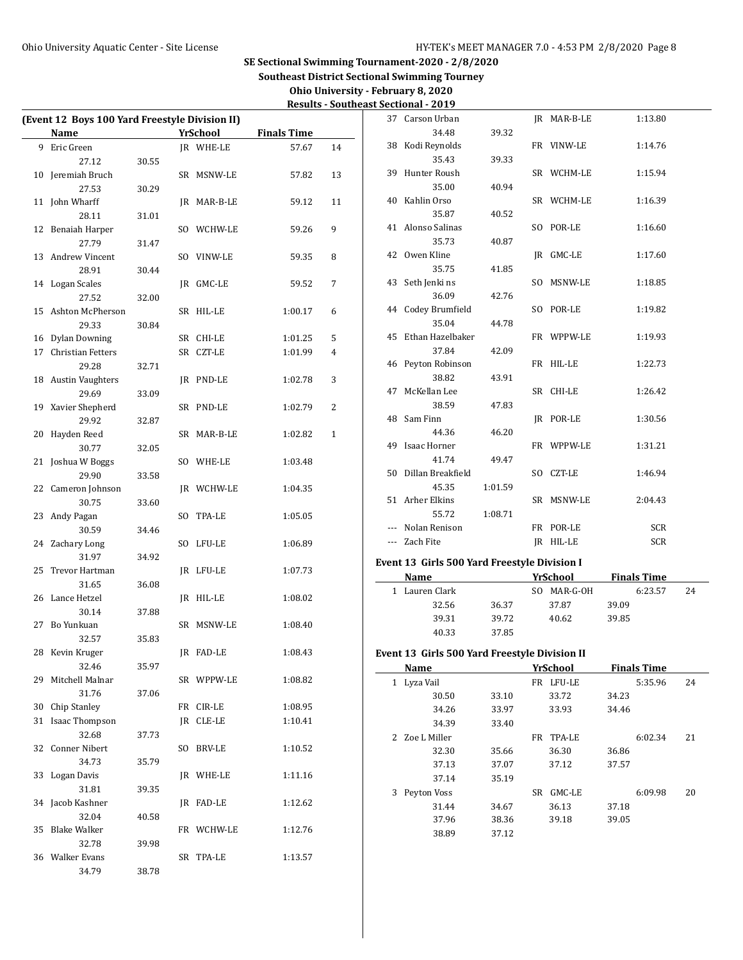| Ohio University - February 8, 2020          |
|---------------------------------------------|
| <b>Results - Southeast Sectional - 2019</b> |

| 1:13.80            |
|--------------------|
|                    |
| 1:14.76            |
|                    |
| 1:15.94            |
|                    |
| 1:16.39            |
|                    |
| 1:16.60            |
|                    |
| 1:17.60            |
|                    |
| 1:18.85            |
|                    |
| 1:19.82            |
|                    |
| 1:19.93            |
|                    |
| 1:22.73            |
|                    |
|                    |
| 1:26.42            |
|                    |
| 1:30.56            |
|                    |
| 1:31.21            |
|                    |
| 1:46.94            |
|                    |
| 2:04.43            |
|                    |
| <b>SCR</b>         |
| SCR                |
|                    |
|                    |
| <b>Finals Time</b> |
| 6:23.57<br>24      |
| 39.09              |
| 39.85              |
|                    |
|                    |
|                    |
| <b>Finals Time</b> |
| 5:35.96<br>24      |
| 34.23              |
| 34.46              |
|                    |
| 6:02.34<br>21      |
| 36.86              |
| 37.57              |
|                    |
| 6:09.98<br>20      |
| 37.18              |
| 39.05              |
|                    |
|                    |
|                    |
|                    |
|                    |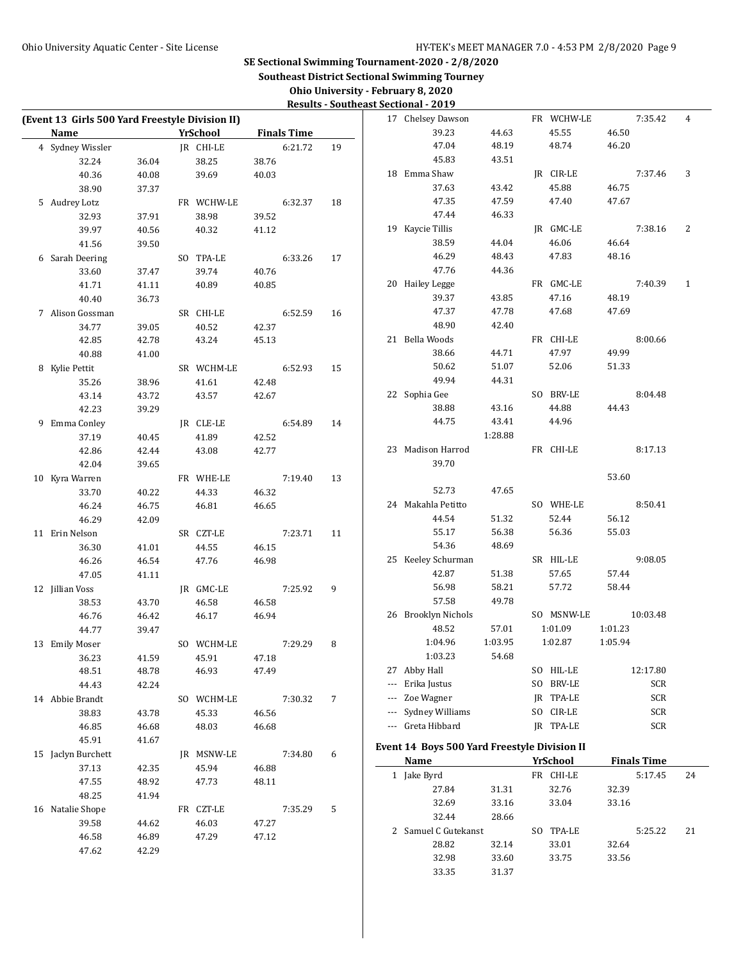| Ohio University - February 8, 2020          |
|---------------------------------------------|
| <b>Results - Southeast Sectional - 2019</b> |

| (Event 13 Girls 500 Yard Freestyle Division II) |                            |            |       |                    |    | 17 Chelsey Dawson                            |         | FR WCHW-LE      |         | 7:35.42            | 4  |
|-------------------------------------------------|----------------------------|------------|-------|--------------------|----|----------------------------------------------|---------|-----------------|---------|--------------------|----|
| Name                                            | <b>Example 25 YrSchool</b> |            |       | <b>Finals Time</b> |    | 39.23                                        | 44.63   | 45.55           | 46.50   |                    |    |
| 4 Sydney Wissler                                |                            | IR CHI-LE  |       | 6:21.72            | 19 | 47.04                                        | 48.19   | 48.74           | 46.20   |                    |    |
| 32.24                                           | 36.04                      | 38.25      | 38.76 |                    |    | 45.83                                        | 43.51   |                 |         |                    |    |
| 40.36                                           | 40.08                      | 39.69      | 40.03 |                    |    | 18 Emma Shaw                                 |         | JR CIR-LE       |         | 7:37.46            | 3  |
| 38.90                                           | 37.37                      |            |       |                    |    | 37.63                                        | 43.42   | 45.88           | 46.75   |                    |    |
| 5 Audrey Lotz                                   |                            | FR WCHW-LE |       | 6:32.37            | 18 | 47.35                                        | 47.59   | 47.40           | 47.67   |                    |    |
| 32.93                                           | 37.91                      | 38.98      | 39.52 |                    |    | 47.44                                        | 46.33   |                 |         |                    |    |
| 39.97                                           | 40.56                      | 40.32      | 41.12 |                    |    | 19 Kaycie Tillis                             |         | JR GMC-LE       |         | 7:38.16            | 2  |
| 41.56                                           | 39.50                      |            |       |                    |    | 38.59                                        | 44.04   | 46.06           | 46.64   |                    |    |
| 6 Sarah Deering                                 |                            | SO TPA-LE  |       | 6:33.26            | 17 | 46.29                                        | 48.43   | 47.83           | 48.16   |                    |    |
| 33.60                                           | 37.47                      | 39.74      | 40.76 |                    |    | 47.76                                        | 44.36   |                 |         |                    |    |
| 41.71                                           | 41.11                      | 40.89      | 40.85 |                    |    | 20 Hailey Legge                              |         | FR GMC-LE       |         | 7:40.39            | 1  |
| 40.40                                           | 36.73                      |            |       |                    |    | 39.37                                        | 43.85   | 47.16           | 48.19   |                    |    |
| 7 Alison Gossman                                |                            | SR CHI-LE  |       | 6:52.59            | 16 | 47.37                                        | 47.78   | 47.68           | 47.69   |                    |    |
| 34.77                                           | 39.05                      | 40.52      | 42.37 |                    |    | 48.90                                        | 42.40   |                 |         |                    |    |
| 42.85                                           | 42.78                      | 43.24      | 45.13 |                    |    | 21 Bella Woods                               |         | FR CHI-LE       |         | 8:00.66            |    |
| 40.88                                           | 41.00                      |            |       |                    |    | 38.66                                        | 44.71   | 47.97           | 49.99   |                    |    |
| 8 Kylie Pettit                                  |                            | SR WCHM-LE |       | 6:52.93            | 15 | 50.62                                        | 51.07   | 52.06           | 51.33   |                    |    |
| 35.26                                           | 38.96                      | 41.61      | 42.48 |                    |    | 49.94                                        | 44.31   |                 |         |                    |    |
| 43.14                                           | 43.72                      | 43.57      | 42.67 |                    |    | 22 Sophia Gee                                |         | SO BRV-LE       |         | 8:04.48            |    |
| 42.23                                           | 39.29                      |            |       |                    |    | 38.88                                        | 43.16   | 44.88           | 44.43   |                    |    |
|                                                 |                            |            |       |                    |    | 44.75                                        | 43.41   | 44.96           |         |                    |    |
| 9 Emma Conley                                   |                            | JR CLE-LE  |       | 6:54.89            | 14 |                                              | 1:28.88 |                 |         |                    |    |
| 37.19                                           | 40.45                      | 41.89      | 42.52 |                    |    | 23 Madison Harrod                            |         | FR CHI-LE       |         | 8:17.13            |    |
| 42.86                                           | 42.44                      | 43.08      | 42.77 |                    |    |                                              |         |                 |         |                    |    |
| 42.04                                           | 39.65                      |            |       |                    |    | 39.70                                        |         |                 | 53.60   |                    |    |
| 10 Kyra Warren                                  |                            | FR WHE-LE  |       | 7:19.40            | 13 |                                              |         |                 |         |                    |    |
| 33.70                                           | 40.22                      | 44.33      | 46.32 |                    |    | 52.73                                        | 47.65   |                 |         |                    |    |
| 46.24                                           | 46.75                      | 46.81      | 46.65 |                    |    | 24 Makahla Petitto                           |         | SO WHE-LE       |         | 8:50.41            |    |
| 46.29                                           | 42.09                      |            |       |                    |    | 44.54                                        | 51.32   | 52.44           | 56.12   |                    |    |
| 11 Erin Nelson                                  |                            | SR CZT-LE  |       | 7:23.71            | 11 | 55.17                                        | 56.38   | 56.36           | 55.03   |                    |    |
| 36.30                                           | 41.01                      | 44.55      | 46.15 |                    |    | 54.36                                        | 48.69   |                 |         |                    |    |
| 46.26                                           | 46.54                      | 47.76      | 46.98 |                    |    | 25 Keeley Schurman                           |         | SR HIL-LE       |         | 9:08.05            |    |
| 47.05                                           | 41.11                      |            |       |                    |    | 42.87                                        | 51.38   | 57.65           | 57.44   |                    |    |
| 12 Jillian Voss                                 |                            | JR GMC-LE  |       | 7:25.92            | 9  | 56.98                                        | 58.21   | 57.72           | 58.44   |                    |    |
| 38.53                                           | 43.70                      | 46.58      | 46.58 |                    |    | 57.58                                        | 49.78   |                 |         |                    |    |
| 46.76                                           | 46.42                      | 46.17      | 46.94 |                    |    | 26 Brooklyn Nichols                          |         | SO MSNW-LE      |         | 10:03.48           |    |
| 44.77                                           | 39.47                      |            |       |                    |    | 48.52                                        | 57.01   | 1:01.09         | 1:01.23 |                    |    |
| 13 Emily Moser                                  |                            | SO WCHM-LE |       | 7:29.29            | 8  | 1:04.96                                      | 1:03.95 | 1:02.87         | 1:05.94 |                    |    |
| 36.23                                           | 41.59                      | 45.91      | 47.18 |                    |    | 1:03.23                                      | 54.68   |                 |         |                    |    |
| 48.51                                           | 48.78                      | 46.93      | 47.49 |                    |    | 27 Abby Hall                                 |         | SO HIL-LE       |         | 12:17.80           |    |
| 44.43                                           | 42.24                      |            |       |                    |    | --- Erika Justus                             |         | SO BRV-LE       |         | <b>SCR</b>         |    |
| 14 Abbie Brandt                                 |                            | SO WCHM-LE |       | 7:30.32            | 7  | --- Zoe Wagner                               |         | JR TPA-LE       |         | SCR                |    |
| 38.83                                           | 43.78                      | 45.33      | 46.56 |                    |    | --- Sydney Williams                          |         | SO CIR-LE       |         | <b>SCR</b>         |    |
| 46.85                                           | 46.68                      | 48.03      | 46.68 |                    |    | --- Greta Hibbard                            |         | JR TPA-LE       |         | <b>SCR</b>         |    |
| 45.91                                           | 41.67                      |            |       |                    |    | Event 14 Boys 500 Yard Freestyle Division II |         |                 |         |                    |    |
| 15 Jaclyn Burchett                              |                            | JR MSNW-LE |       | 7:34.80            | 6  |                                              |         |                 |         |                    |    |
| 37.13                                           | 42.35                      | 45.94      | 46.88 |                    |    | Name                                         |         | <b>YrSchool</b> |         | <b>Finals Time</b> |    |
| 47.55                                           | 48.92                      | 47.73      | 48.11 |                    |    | 1 Jake Byrd                                  |         | FR CHI-LE       |         | 5:17.45            | 24 |
| 48.25                                           | 41.94                      |            |       |                    |    | 27.84                                        | 31.31   | 32.76           | 32.39   |                    |    |
| 16 Natalie Shope                                |                            | FR CZT-LE  |       | 7:35.29            | 5  | 32.69                                        | 33.16   | 33.04           | 33.16   |                    |    |
| 39.58                                           | 44.62                      | 46.03      | 47.27 |                    |    | 32.44                                        | 28.66   |                 |         |                    |    |
| 46.58                                           | 46.89                      | 47.29      | 47.12 |                    |    | 2 Samuel C Gutekanst                         |         | SO TPA-LE       |         | 5:25.22            | 21 |
| 47.62                                           | 42.29                      |            |       |                    |    | 28.82                                        | 32.14   | 33.01           | 32.64   |                    |    |
|                                                 |                            |            |       |                    |    | 32.98                                        | 33.60   | 33.75           | 33.56   |                    |    |
|                                                 |                            |            |       |                    |    | 33.35                                        | 31.37   |                 |         |                    |    |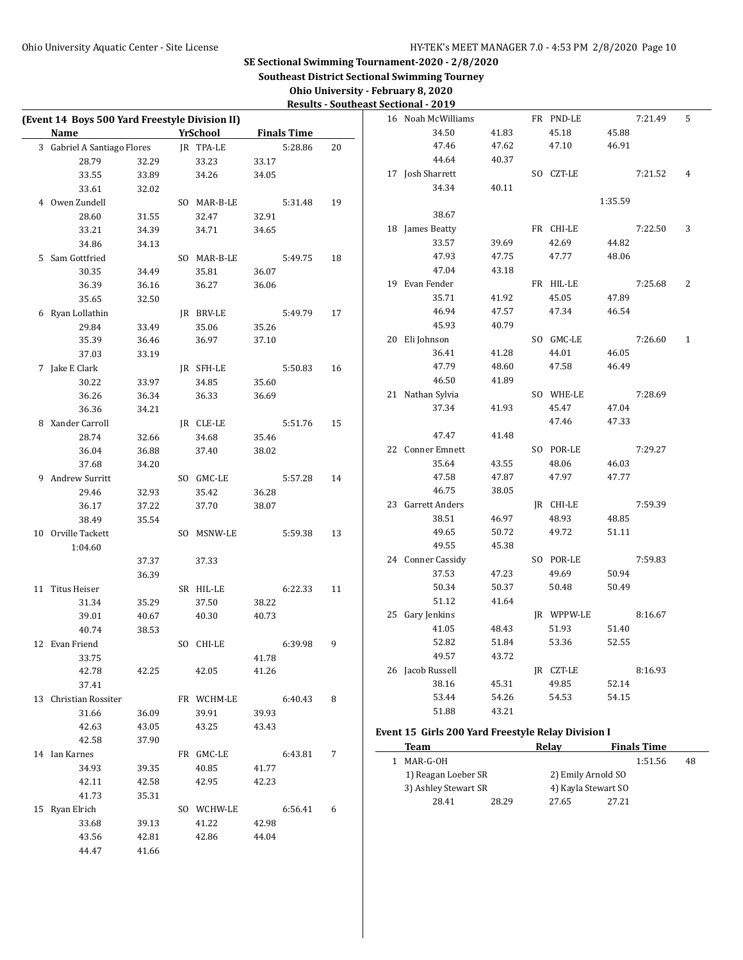| Ohio University - February 8, 2020          |
|---------------------------------------------|
| <b>Results - Southeast Sectional - 2019</b> |

| (Event 14 Boys 500 Yard Freestyle Division II)                                                                                |       |             |       |                    |    | Results Southeast Sectional Forty<br>16 Noah McWilliams |       | FR PND-LE           |         | 7:21.49            | 5  |
|-------------------------------------------------------------------------------------------------------------------------------|-------|-------------|-------|--------------------|----|---------------------------------------------------------|-------|---------------------|---------|--------------------|----|
| Name<br><b>Example 21 Service Street Service Street Service Street Service Street Street Service Street Street Street Str</b> |       |             |       | <b>Finals Time</b> |    | 34.50                                                   | 41.83 | 45.18               | 45.88   |                    |    |
| 3 Gabriel A Santiago Flores JR TPA-LE                                                                                         |       |             |       | 5:28.86            | 20 | 47.46                                                   | 47.62 | 47.10               | 46.91   |                    |    |
| 28.79                                                                                                                         | 32.29 | 33.23       | 33.17 |                    |    | 44.64                                                   | 40.37 |                     |         |                    |    |
| 33.55                                                                                                                         | 33.89 | 34.26       | 34.05 |                    |    | 17 Josh Sharrett                                        |       | SO CZT-LE           |         | 7:21.52            | 4  |
| 33.61                                                                                                                         | 32.02 |             |       |                    |    | 34.34                                                   | 40.11 |                     |         |                    |    |
| 4 Owen Zundell                                                                                                                |       | SO MAR-B-LE |       | 5:31.48            | 19 |                                                         |       |                     | 1:35.59 |                    |    |
| 28.60                                                                                                                         | 31.55 | 32.47       | 32.91 |                    |    | 38.67                                                   |       |                     |         |                    |    |
| 33.21                                                                                                                         | 34.39 | 34.71       | 34.65 |                    |    | 18 James Beatty                                         |       | FR CHI-LE           |         | 7:22.50            | 3  |
| 34.86                                                                                                                         | 34.13 |             |       |                    |    | 33.57                                                   | 39.69 | 42.69               | 44.82   |                    |    |
| 5 Sam Gottfried                                                                                                               |       | SO MAR-B-LE |       | 5:49.75            | 18 | 47.93                                                   | 47.75 | 47.77               | 48.06   |                    |    |
| 30.35                                                                                                                         | 34.49 | 35.81       | 36.07 |                    |    | 47.04                                                   | 43.18 |                     |         |                    |    |
| 36.39                                                                                                                         | 36.16 | 36.27       | 36.06 |                    |    | 19 Evan Fender                                          |       | FR HIL-LE           |         | 7:25.68            | 2  |
| 35.65                                                                                                                         | 32.50 |             |       |                    |    | 35.71                                                   | 41.92 | 45.05               | 47.89   |                    |    |
| 6 Ryan Lollathin                                                                                                              |       | JR BRV-LE   |       | 5:49.79            | 17 | 46.94                                                   | 47.57 | 47.34               | 46.54   |                    |    |
| 29.84                                                                                                                         | 33.49 | 35.06       | 35.26 |                    |    | 45.93                                                   | 40.79 |                     |         |                    |    |
| 35.39                                                                                                                         | 36.46 | 36.97       | 37.10 |                    |    | 20 Eli Johnson                                          |       | SO GMC-LE           |         | 7:26.60            | 1  |
| 37.03                                                                                                                         | 33.19 |             |       |                    |    | 36.41                                                   | 41.28 | 44.01               | 46.05   |                    |    |
| 7 Jake E Clark                                                                                                                |       | JR SFH-LE   |       | 5:50.83            | 16 | 47.79                                                   | 48.60 | 47.58               | 46.49   |                    |    |
| 30.22                                                                                                                         | 33.97 | 34.85       | 35.60 |                    |    | 46.50                                                   | 41.89 |                     |         |                    |    |
| 36.26                                                                                                                         | 36.34 | 36.33       | 36.69 |                    |    | 21 Nathan Sylvia                                        |       | SO WHE-LE           |         | 7:28.69            |    |
| 36.36                                                                                                                         | 34.21 |             |       |                    |    | 37.34                                                   | 41.93 | 45.47               | 47.04   |                    |    |
| 8 Xander Carroll                                                                                                              |       | JR CLE-LE   |       | 5:51.76            | 15 |                                                         |       | 47.46               | 47.33   |                    |    |
| 28.74                                                                                                                         | 32.66 | 34.68       | 35.46 |                    |    | 47.47                                                   | 41.48 |                     |         |                    |    |
| 36.04                                                                                                                         | 36.88 | 37.40       | 38.02 |                    |    | 22 Conner Emnett                                        |       | SO POR-LE           |         | 7:29.27            |    |
| 37.68                                                                                                                         | 34.20 |             |       |                    |    | 35.64                                                   | 43.55 | 48.06               | 46.03   |                    |    |
| 9 Andrew Surritt                                                                                                              |       | SO GMC-LE   |       | 5:57.28            | 14 | 47.58                                                   | 47.87 | 47.97               | 47.77   |                    |    |
| 29.46                                                                                                                         | 32.93 | 35.42       | 36.28 |                    |    | 46.75                                                   | 38.05 |                     |         |                    |    |
| 36.17                                                                                                                         | 37.22 | 37.70       | 38.07 |                    |    | 23 Garrett Anders                                       |       | JR CHI-LE           |         | 7:59.39            |    |
| 38.49                                                                                                                         | 35.54 |             |       |                    |    | 38.51                                                   | 46.97 | 48.93               | 48.85   |                    |    |
| 10 Orville Tackett                                                                                                            |       | SO MSNW-LE  |       | 5:59.38            | 13 | 49.65                                                   | 50.72 | 49.72               | 51.11   |                    |    |
| 1:04.60                                                                                                                       |       |             |       |                    |    | 49.55                                                   | 45.38 |                     |         |                    |    |
|                                                                                                                               | 37.37 | 37.33       |       |                    |    | 24 Conner Cassidy                                       |       | SO POR-LE           |         | 7:59.83            |    |
|                                                                                                                               | 36.39 |             |       |                    |    | 37.53                                                   | 47.23 | 49.69               | 50.94   |                    |    |
| 11 Titus Heiser                                                                                                               |       | SR HIL-LE   |       | 6:22.33            | 11 | 50.34                                                   | 50.37 | 50.48               | 50.49   |                    |    |
| 31.34                                                                                                                         | 35.29 | 37.50       | 38.22 |                    |    | 51.12                                                   | 41.64 |                     |         |                    |    |
| 39.01                                                                                                                         | 40.67 | 40.30       | 40.73 |                    |    | 25 Gary Jenkins                                         |       | JR WPPW-LE          |         | 8:16.67            |    |
| 40.74                                                                                                                         | 38.53 |             |       |                    |    | 41.05                                                   | 48.43 | 51.93               | 51.40   |                    |    |
| 12 Evan Friend                                                                                                                |       | SO CHI-LE   |       | 6:39.98            | 9  | 52.82                                                   | 51.84 | 53.36               | 52.55   |                    |    |
| 33.75                                                                                                                         |       |             | 41.78 |                    |    | 49.57                                                   | 43.72 |                     |         |                    |    |
| 42.78                                                                                                                         | 42.25 | 42.05       | 41.26 |                    |    | 26 Jacob Russell                                        |       | JR CZT-LE           |         | 8:16.93            |    |
| 37.41                                                                                                                         |       |             |       |                    |    | 38.16                                                   | 45.31 | 49.85               | 52.14   |                    |    |
| 13 Christian Rossiter                                                                                                         |       | FR WCHM-LE  |       | 6:40.43            | 8  | 53.44                                                   | 54.26 | 54.53               | 54.15   |                    |    |
| 31.66                                                                                                                         | 36.09 | 39.91       | 39.93 |                    |    | 51.88                                                   | 43.21 |                     |         |                    |    |
| 42.63                                                                                                                         | 43.05 | 43.25       | 43.43 |                    |    | Event 15 Girls 200 Yard Freestyle Relay Division I      |       |                     |         |                    |    |
| 42.58                                                                                                                         | 37.90 |             |       |                    |    | <b>Team</b>                                             |       | Relay               |         | <b>Finals Time</b> |    |
| 14 Ian Karnes                                                                                                                 |       | FR GMC-LE   |       | 6:43.81            | 7  | 1 MAR-G-OH                                              |       |                     |         | 1:51.56            | 48 |
| 34.93                                                                                                                         | 39.35 | 40.85       | 41.77 |                    |    | 1) Reagan Loeber SR                                     |       | 2) Emily Arnold SO  |         |                    |    |
| 42.11                                                                                                                         | 42.58 | 42.95       | 42.23 |                    |    | 3) Ashley Stewart SR                                    |       | 4) Kayla Stewart SO |         |                    |    |
| 41.73                                                                                                                         | 35.31 |             |       |                    |    | 28.41                                                   | 28.29 | 27.65               | 27.21   |                    |    |
| 15 Ryan Elrich                                                                                                                |       | SO WCHW-LE  |       | 6:56.41            | 6  |                                                         |       |                     |         |                    |    |
| 33.68                                                                                                                         | 39.13 | 41.22       | 42.98 |                    |    |                                                         |       |                     |         |                    |    |
| 43.56                                                                                                                         | 42.81 | 42.86       | 44.04 |                    |    |                                                         |       |                     |         |                    |    |
| 44.47                                                                                                                         | 41.66 |             |       |                    |    |                                                         |       |                     |         |                    |    |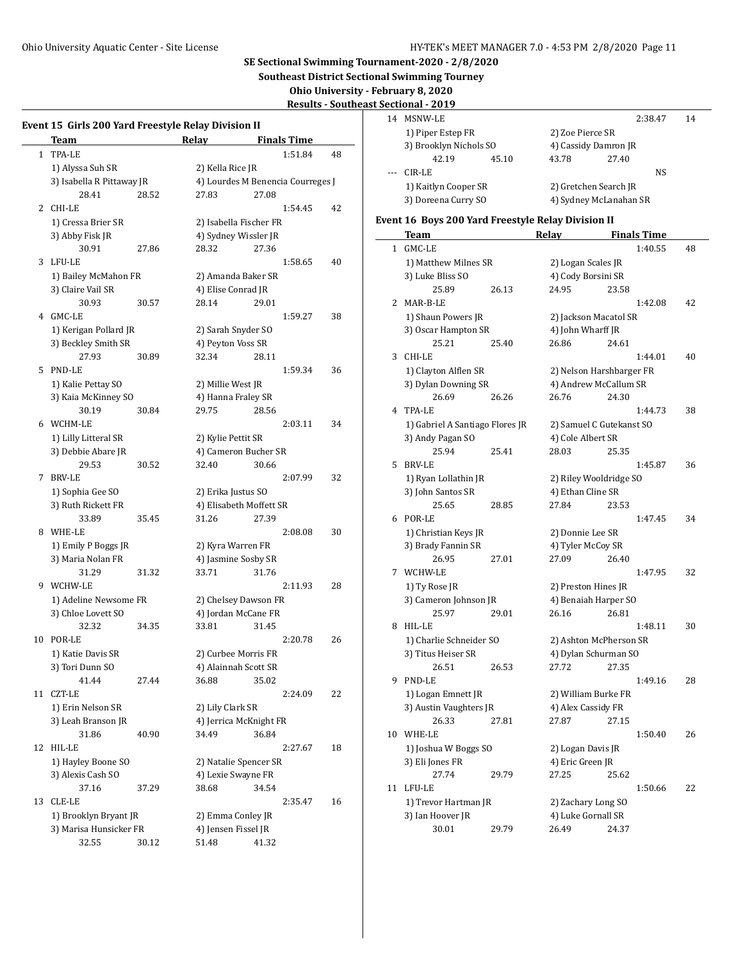**Southeast District Sectional Swimming Tourney**

**Ohio University - February 8, 2020**

**Results - Southeast Sectional - 2019**

|    | Event 15 Girls 200 Yard Freestyle Relay Division II<br><b>Team</b> |       | Relay               |                                         | <b>Finals Time</b>                |    |  |  |  |
|----|--------------------------------------------------------------------|-------|---------------------|-----------------------------------------|-----------------------------------|----|--|--|--|
| 1  | TPA-LE                                                             |       |                     |                                         | 1:51.84                           | 48 |  |  |  |
|    | 1) Alyssa Suh SR                                                   |       | 2) Kella Rice JR    |                                         |                                   |    |  |  |  |
|    | 3) Isabella R Pittaway JR                                          |       |                     |                                         | 4) Lourdes M Benencia Courreges J |    |  |  |  |
|    | 28.41                                                              | 28.52 | 27.83               | 27.08                                   |                                   |    |  |  |  |
| 2  | CHI-LE                                                             |       |                     |                                         | 1:54.45                           | 42 |  |  |  |
|    | 1) Cressa Brier SR                                                 |       |                     | 2) Isabella Fischer FR                  |                                   |    |  |  |  |
|    | 3) Abby Fisk JR                                                    |       |                     | 4) Sydney Wissler JR                    |                                   |    |  |  |  |
|    | 30.91                                                              | 27.86 | 28.32               | 27.36                                   |                                   |    |  |  |  |
| 3  | LFU-LE                                                             |       |                     |                                         | 1:58.65                           | 40 |  |  |  |
|    | 1) Bailey McMahon FR                                               |       |                     | 2) Amanda Baker SR                      |                                   |    |  |  |  |
|    | 3) Claire Vail SR                                                  |       | 4) Elise Conrad JR  |                                         |                                   |    |  |  |  |
|    | 30.93                                                              | 30.57 | 28.14               | 29.01                                   |                                   |    |  |  |  |
| 4  | GMC-LE                                                             |       |                     |                                         | 1:59.27                           | 38 |  |  |  |
|    |                                                                    |       |                     |                                         |                                   |    |  |  |  |
|    | 1) Kerigan Pollard JR                                              |       |                     | 2) Sarah Snyder SO<br>4) Peyton Voss SR |                                   |    |  |  |  |
|    | 3) Beckley Smith SR                                                |       |                     |                                         |                                   |    |  |  |  |
|    | 27.93                                                              | 30.89 | 32.34               | 28.11                                   |                                   |    |  |  |  |
| 5  | PND-LE                                                             |       |                     |                                         | 1:59.34                           | 36 |  |  |  |
|    | 1) Kalie Pettay SO                                                 |       | 2) Millie West JR   |                                         |                                   |    |  |  |  |
|    | 3) Kaia McKinney SO                                                |       | 4) Hanna Fraley SR  |                                         |                                   |    |  |  |  |
|    | 30.19                                                              | 30.84 | 29.75               | 28.56                                   |                                   |    |  |  |  |
| 6  | WCHM-LE                                                            |       |                     |                                         | 2:03.11                           | 34 |  |  |  |
|    | 1) Lilly Litteral SR                                               |       | 2) Kylie Pettit SR  |                                         |                                   |    |  |  |  |
|    | 3) Debbie Abare JR                                                 |       |                     | 4) Cameron Bucher SR                    |                                   |    |  |  |  |
|    | 29.53                                                              | 30.52 | 32.40               | 30.66                                   |                                   |    |  |  |  |
| 7  | <b>BRV-LE</b>                                                      |       |                     |                                         | 2:07.99                           | 32 |  |  |  |
|    | 1) Sophia Gee SO                                                   |       | 2) Erika Justus SO  |                                         |                                   |    |  |  |  |
|    | 3) Ruth Rickett FR                                                 |       |                     | 4) Elisabeth Moffett SR                 |                                   |    |  |  |  |
|    | 33.89                                                              | 35.45 | 31.26               | 27.39                                   |                                   |    |  |  |  |
| 8  | WHE-LE                                                             |       |                     |                                         | 2:08.08                           | 30 |  |  |  |
|    | 1) Emily P Boggs JR                                                |       | 2) Kyra Warren FR   |                                         |                                   |    |  |  |  |
|    | 3) Maria Nolan FR                                                  |       |                     | 4) Jasmine Sosby SR                     |                                   |    |  |  |  |
|    | 31.29                                                              | 31.32 | 33.71               | 31.76                                   |                                   |    |  |  |  |
| 9  | WCHW-LE                                                            |       |                     |                                         | 2:11.93                           | 28 |  |  |  |
|    | 1) Adeline Newsome FR                                              |       |                     | 2) Chelsey Dawson FR                    |                                   |    |  |  |  |
|    | 3) Chloe Lovett SO                                                 |       |                     | 4) Jordan McCane FR                     |                                   |    |  |  |  |
|    | 32.32                                                              | 34.35 | 33.81               | 31.45                                   |                                   |    |  |  |  |
| 10 | POR-LE                                                             |       |                     |                                         | 2:20.78                           | 26 |  |  |  |
|    | 1) Katie Davis SR                                                  |       |                     | 2) Curbee Morris FR                     |                                   |    |  |  |  |
|    | 3) Tori Dunn SO                                                    |       |                     | 4) Alainnah Scott SR                    |                                   |    |  |  |  |
|    | 41.44                                                              | 27.44 | 36.88               | 35.02                                   |                                   |    |  |  |  |
| 11 | CZT-LE                                                             |       |                     |                                         | 2:24.09                           | 22 |  |  |  |
|    | 1) Erin Nelson SR                                                  |       | 2) Lily Clark SR    |                                         |                                   |    |  |  |  |
|    | 3) Leah Branson JR                                                 |       |                     | 4) Jerrica McKnight FR                  |                                   |    |  |  |  |
|    | 31.86                                                              | 40.90 | 34.49               | 36.84                                   |                                   |    |  |  |  |
| 12 | HIL-LE                                                             |       |                     |                                         | 2:27.67                           | 18 |  |  |  |
|    | 1) Hayley Boone SO                                                 |       |                     | 2) Natalie Spencer SR                   |                                   |    |  |  |  |
|    | 3) Alexis Cash SO                                                  |       | 4) Lexie Swayne FR  |                                         |                                   |    |  |  |  |
|    | 37.16                                                              | 37.29 | 38.68               | 34.54                                   |                                   |    |  |  |  |
| 13 | CLE-LE                                                             |       |                     |                                         | 2:35.47                           | 16 |  |  |  |
|    | 1) Brooklyn Bryant JR                                              |       | 2) Emma Conley JR   |                                         |                                   |    |  |  |  |
|    | 3) Marisa Hunsicker FR                                             |       | 4) Jensen Fissel JR |                                         |                                   |    |  |  |  |
|    | 32.55                                                              | 30.12 | 51.48               | 41.32                                   |                                   |    |  |  |  |
|    |                                                                    |       |                     |                                         |                                   |    |  |  |  |

| 14    | MSNW-LE                |       |                        |       | 2:38.47 | 14 |
|-------|------------------------|-------|------------------------|-------|---------|----|
|       | 1) Piper Estep FR      |       | 2) Zoe Pierce SR       |       |         |    |
|       | 3) Brooklyn Nichols SO |       | 4) Cassidy Damron JR   |       |         |    |
|       | 42.19                  | 45.10 | 43.78                  | 27.40 |         |    |
| $---$ | CIR-LE                 |       |                        |       | NS.     |    |
|       | 1) Kaitlyn Cooper SR   |       | 2) Gretchen Search JR  |       |         |    |
|       | 3) Doreena Curry SO    |       | 4) Sydney McLanahan SR |       |         |    |
|       |                        |       |                        |       |         |    |

# **Event 16 Boys 200 Yard Freestyle Relay Division II**

|    | <u>Team</u>                     |       | <b>Relay</b>             |                      | <b>Finals Time</b> |    |  |
|----|---------------------------------|-------|--------------------------|----------------------|--------------------|----|--|
| 1  | GMC-LE                          |       |                          |                      | 1:40.55            | 48 |  |
|    | 1) Matthew Milnes SR            |       | 2) Logan Scales JR       |                      |                    |    |  |
|    | 3) Luke Bliss SO                |       | 4) Cody Borsini SR       |                      |                    |    |  |
|    | 25.89                           | 26.13 | 24.95                    | 23.58                |                    |    |  |
| 2  | MAR-B-LE                        |       |                          |                      | 1:42.08            | 42 |  |
|    | 1) Shaun Powers JR              |       | 2) Jackson Macatol SR    |                      |                    |    |  |
|    | 3) Oscar Hampton SR             |       | 4) John Wharff JR        |                      |                    |    |  |
|    | 25.21                           | 25.40 | 26.86                    | 24.61                |                    |    |  |
| 3  | CHI-LE                          |       |                          |                      | 1:44.01            | 40 |  |
|    | 1) Clayton Alflen SR            |       | 2) Nelson Harshbarger FR |                      |                    |    |  |
|    | 3) Dylan Downing SR             |       | 4) Andrew McCallum SR    |                      |                    |    |  |
|    | 26.69                           | 26.26 | 26.76                    | 24.30                |                    |    |  |
| 4  | TPA-LE                          |       |                          |                      | 1:44.73            | 38 |  |
|    | 1) Gabriel A Santiago Flores JR |       | 2) Samuel C Gutekanst SO |                      |                    |    |  |
|    | 3) Andy Pagan SO                |       | 4) Cole Albert SR        |                      |                    |    |  |
|    | 25.94                           | 25.41 | 28.03                    | 25.35                |                    |    |  |
| 5  | <b>BRV-LE</b>                   |       |                          |                      | 1:45.87            | 36 |  |
|    | 1) Ryan Lollathin JR            |       | 2) Riley Wooldridge SO   |                      |                    |    |  |
|    | 3) John Santos SR               |       | 4) Ethan Cline SR        |                      |                    |    |  |
|    | 25.65                           | 28.85 | 27.84                    | 23.53                |                    |    |  |
| 6  | POR-LE                          |       |                          |                      | 1:47.45            | 34 |  |
|    | 1) Christian Keys JR            |       | 2) Donnie Lee SR         |                      |                    |    |  |
|    | 3) Brady Fannin SR              |       | 4) Tyler McCoy SR        |                      |                    |    |  |
|    | 26.95                           | 27.01 | 27.09                    | 26.40                |                    |    |  |
| 7  | WCHW-LE                         |       |                          |                      | 1:47.95            | 32 |  |
|    | 1) Ty Rose JR                   |       | 2) Preston Hines JR      |                      |                    |    |  |
|    | 3) Cameron Johnson JR           |       |                          | 4) Benaiah Harper SO |                    |    |  |
|    | 25.97                           | 29.01 | 26.16                    | 26.81                |                    |    |  |
| 8  | HIL-LE                          |       |                          |                      | 1:48.11            | 30 |  |
|    | 1) Charlie Schneider SO         |       | 2) Ashton McPherson SR   |                      |                    |    |  |
|    | 3) Titus Heiser SR              |       | 4) Dylan Schurman SO     |                      |                    |    |  |
|    | 26.51                           | 26.53 | 27.72                    | 27.35                |                    |    |  |
| 9  | PND-LE                          |       |                          |                      | 1:49.16            | 28 |  |
|    | 1) Logan Emnett JR              |       | 2) William Burke FR      |                      |                    |    |  |
|    | 3) Austin Vaughters JR          |       | 4) Alex Cassidy FR       |                      |                    |    |  |
|    | 26.33                           | 27.81 | 27.87                    | 27.15                |                    |    |  |
| 10 | WHE-LE                          |       |                          |                      | 1:50.40            | 26 |  |
|    | 1) Joshua W Boggs SO            |       | 2) Logan Davis JR        |                      |                    |    |  |
|    | 3) Eli Jones FR                 |       | 4) Eric Green JR         |                      |                    |    |  |
|    | 27.74                           | 29.79 | 27.25                    | 25.62                |                    |    |  |
| 11 | LFU-LE                          |       |                          |                      | 1:50.66            | 22 |  |
|    | 1) Trevor Hartman JR            |       | 2) Zachary Long SO       |                      |                    |    |  |
|    | 3) Ian Hoover JR                |       | 4) Luke Gornall SR       |                      |                    |    |  |
|    | 30.01                           | 29.79 | 26.49                    | 24.37                |                    |    |  |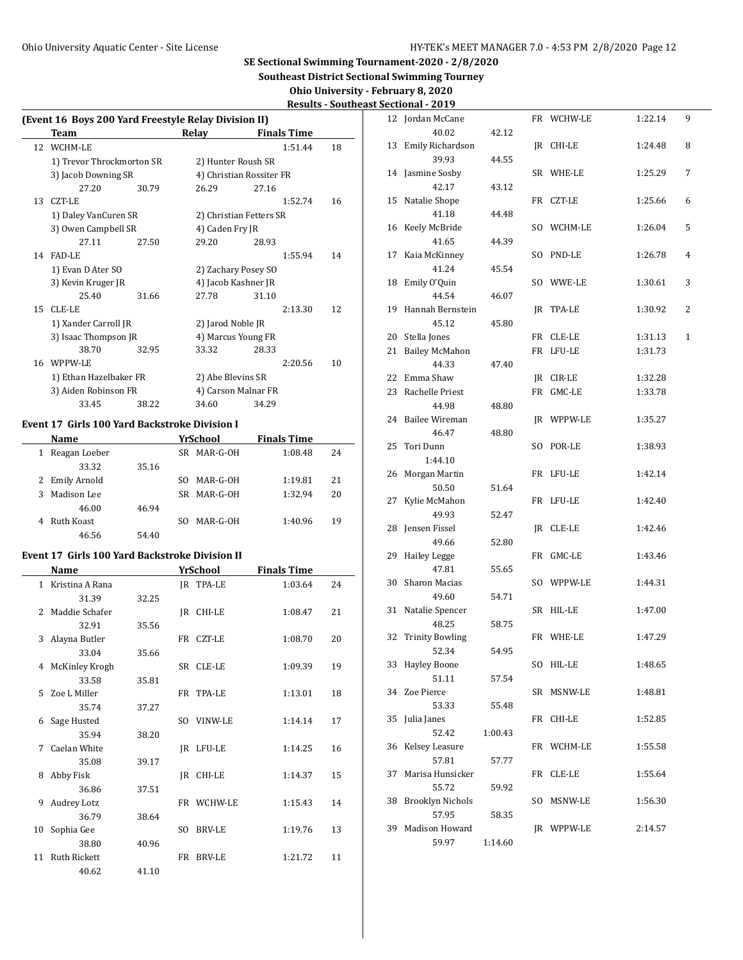**Southeast District Sectional Swimming Tourney**

**Ohio University - February 8, 2020 Results - Southeast Sectional - 2019**

|    | (Event 16 Boys 200 Yard Freestyle Relay Division II) |                     |                     |                          |                    |    |  |  |  |
|----|------------------------------------------------------|---------------------|---------------------|--------------------------|--------------------|----|--|--|--|
|    | Team                                                 |                     | Relay               |                          | <b>Finals Time</b> |    |  |  |  |
| 12 | WCHM-LE                                              |                     |                     |                          | 1:51.44            | 18 |  |  |  |
|    | 1) Trevor Throckmorton SR                            |                     | 2) Hunter Roush SR  |                          |                    |    |  |  |  |
|    | 3) Jacob Downing SR                                  |                     |                     | 4) Christian Rossiter FR |                    |    |  |  |  |
|    | 27.20                                                | 30.79               | 26.29               | 27.16                    |                    |    |  |  |  |
| 13 | CZT-LE                                               |                     |                     |                          | 1:52.74            | 16 |  |  |  |
|    | 1) Daley VanCuren SR                                 |                     |                     | 2) Christian Fetters SR  |                    |    |  |  |  |
|    | 3) Owen Campbell SR                                  |                     |                     | 4) Caden Fry JR          |                    |    |  |  |  |
|    | 27.11                                                | 27.50               | 29.20               | 28.93                    |                    |    |  |  |  |
| 14 | FAD-LE                                               |                     |                     |                          | 1:55.94            | 14 |  |  |  |
|    | 1) Evan D Ater SO                                    | 2) Zachary Posey SO |                     |                          |                    |    |  |  |  |
|    | 3) Kevin Kruger JR                                   |                     | 4) Jacob Kashner JR |                          |                    |    |  |  |  |
|    | 25.40                                                | 31.66               | 27.78               | 31.10                    |                    |    |  |  |  |
| 15 | CLE-LE                                               |                     |                     |                          | 2:13.30            | 12 |  |  |  |
|    | 1) Xander Carroll JR                                 |                     | 2) Jarod Noble JR   |                          |                    |    |  |  |  |
|    | 3) Isaac Thompson JR                                 |                     | 4) Marcus Young FR  |                          |                    |    |  |  |  |
|    | 38.70                                                | 32.95               | 33.32               | 28.33                    |                    |    |  |  |  |
| 16 | WPPW-LE                                              |                     |                     |                          | 2:20.56            | 10 |  |  |  |
|    | 1) Ethan Hazelbaker FR                               |                     | 2) Abe Blevins SR   |                          |                    |    |  |  |  |
|    | 3) Aiden Robinson FR                                 |                     |                     | 4) Carson Malnar FR      |                    |    |  |  |  |
|    | 33.45                                                | 38.22               | 34.60               | 34.29                    |                    |    |  |  |  |
|    |                                                      |                     |                     |                          |                    |    |  |  |  |

# **Event 17 Girls 100 Yard Backstroke Division I**

|    | <b>Name</b>    |       | YrSchool        | <b>Finals Time</b> |    |  |  |
|----|----------------|-------|-----------------|--------------------|----|--|--|
|    | Reagan Loeber  |       | MAR-G-OH<br>SR. | 1:08.48            | 24 |  |  |
|    | 33.32          | 35.16 |                 |                    |    |  |  |
|    | 2 Emily Arnold |       | MAR-G-OH<br>SO. | 1:19.81            | 21 |  |  |
| 3. | Madison Lee    |       | MAR-G-OH<br>SR. | 1:32.94            | 20 |  |  |
|    | 46.00          | 46.94 |                 |                    |    |  |  |
|    | Ruth Koast     |       | MAR-G-OH<br>SO. | 1:40.96            | 19 |  |  |
|    | 46.56          | 54.40 |                 |                    |    |  |  |

### **Event 17 Girls 100 Yard Backstroke Division II**

 $\overline{a}$ 

|              | Name                |       |                | YrSchool      | <b>Finals Time</b> |    |
|--------------|---------------------|-------|----------------|---------------|--------------------|----|
| $\mathbf{1}$ | Kristina A Rana     |       |                | IR TPA-LE     | 1:03.64            | 24 |
|              | 31.39               | 32.25 |                |               |                    |    |
| $2^{\circ}$  | Maddie Schafer      |       | IR             | CHI-LE        | 1:08.47            | 21 |
|              | 32.91               | 35.56 |                |               |                    |    |
| 3            | Alayna Butler       |       |                | FR CZT-LE     | 1:08.70            | 20 |
|              | 33.04               | 35.66 |                |               |                    |    |
| 4            | McKinley Krogh      |       | SR -           | CLE-LE        | 1:09.39            | 19 |
|              | 33.58               | 35.81 |                |               |                    |    |
| 5.           | Zoe L Miller        |       |                | FR TPA-LE     | 1:13.01            | 18 |
|              | 35.74               | 37.27 |                |               |                    |    |
| 6            | Sage Husted         |       | SO.            | VINW-LE       | 1:14.14            | 17 |
|              | 35.94               | 38.20 |                |               |                    |    |
| 7            | Caelan White        |       | IR             | LFU-LE        | 1:14.25            | 16 |
|              | 35.08               | 39.17 |                |               |                    |    |
| 8            | Abby Fisk           |       | IR             | CHI-LE        | 1:14.37            | 15 |
|              | 36.86               | 37.51 |                |               |                    |    |
| 9            | Audrey Lotz         |       |                | FR WCHW-LE    | 1:15.43            | 14 |
|              | 36.79               | 38.64 |                |               |                    |    |
| 10           | Sophia Gee          |       | S <sub>O</sub> | <b>BRV-LE</b> | 1:19.76            | 13 |
|              | 38.80               | 40.96 |                |               |                    |    |
| 11           | <b>Ruth Rickett</b> |       | FR             | BRV-LE        | 1:21.72            | 11 |
|              | 40.62               | 41.10 |                |               |                    |    |

| 12 | Jordan McCane             |         |     | FR WCHW-LE | 1:22.14 | 9 |
|----|---------------------------|---------|-----|------------|---------|---|
|    | 40.02                     | 42.12   |     |            |         |   |
| 13 | Emily Richardson          |         |     | JR CHI-LE  | 1:24.48 | 8 |
|    | 39.93                     | 44.55   |     |            |         |   |
| 14 | Jasmine Sosby             |         |     | SR WHE-LE  | 1:25.29 | 7 |
|    | 42.17                     | 43.12   |     |            |         |   |
| 15 | Natalie Shope             |         |     | FR CZT-LE  | 1:25.66 | 6 |
|    | 41.18                     | 44.48   |     |            |         |   |
| 16 | Keely McBride             |         | SO. | WCHM-LE    | 1:26.04 | 5 |
|    | 41.65                     | 44.39   |     |            |         |   |
| 17 | Kaia McKinney             |         | SO. | PND-LE     | 1:26.78 | 4 |
|    | 41.24                     | 45.54   |     |            |         |   |
| 18 | Emily O'Quin              |         | SO  | WWE-LE     | 1:30.61 | 3 |
|    | 44.54                     | 46.07   |     |            |         |   |
| 19 | Hannah Bernstein          |         | JR  | TPA-LE     | 1:30.92 | 2 |
|    | 45.12                     | 45.80   |     |            |         |   |
| 20 | Stella Jones              |         |     | FR CLE-LE  | 1:31.13 | 1 |
| 21 | <b>Bailey McMahon</b>     |         | FR  | LFU-LE     | 1:31.73 |   |
|    | 44.33                     | 47.40   |     |            |         |   |
| 22 | Emma Shaw                 |         |     | JR CIR-LE  | 1:32.28 |   |
| 23 | Rachelle Priest           |         | FR  | $GMC$ -LE  | 1:33.78 |   |
|    | 44.98                     | 48.80   |     |            |         |   |
| 24 | Bailee Wireman            |         | JR  | WPPW-LE    | 1:35.27 |   |
|    | 46.47                     | 48.80   |     |            |         |   |
| 25 | Tori Dunn                 |         | SO  | POR-LE     | 1:38.93 |   |
|    | 1:44.10                   |         |     |            |         |   |
| 26 | Morgan Martin             |         | FR  | LFU-LE     | 1:42.14 |   |
|    | 50.50                     | 51.64   |     |            |         |   |
| 27 | Kylie McMahon             |         | FR  | LFU-LE     | 1:42.40 |   |
|    | 49.93                     | 52.47   |     |            |         |   |
| 28 | Jensen Fissel             |         | JR. | CLE-LE     | 1:42.46 |   |
|    | 49.66                     | 52.80   |     |            |         |   |
| 29 | <b>Hailey Legge</b>       |         | FR  | GMC-LE     | 1:43.46 |   |
|    | 47.81                     | 55.65   |     |            |         |   |
| 30 | Sharon Macias             |         |     | SO WPPW-LE | 1:44.31 |   |
|    | 49.60                     | 54.71   |     |            |         |   |
| 31 | Natalie Spencer           |         |     | SR HIL-LE  | 1:47.00 |   |
|    | 48.25                     | 58.75   |     |            |         |   |
| 32 | <b>Trinity Bowling</b>    |         |     | FR WHE-LE  | 1:47.29 |   |
|    | 52.34                     | 54.95   |     |            |         |   |
| 33 | <b>Hayley Boone</b>       |         | SO  | HIL-LE     | 1:48.65 |   |
|    | 51.11                     | 57.54   |     |            |         |   |
| 34 | Zoe Pierce                |         | SR  | MSNW-LE    | 1:48.81 |   |
|    | 53.33                     | 55.48   |     | FR CHI-LE  | 1:52.85 |   |
| 35 | Julia Janes<br>52.42      |         |     |            |         |   |
|    | Kelsey Leasure            | 1:00.43 |     | FR WCHM-LE | 1:55.58 |   |
| 36 |                           |         |     |            |         |   |
| 37 | 57.81<br>Marisa Hunsicker | 57.77   | FR  | CLE-LE     | 1:55.64 |   |
|    | 55.72                     | 59.92   |     |            |         |   |
| 38 | <b>Brooklyn Nichols</b>   |         | SO. | MSNW-LE    | 1:56.30 |   |
|    | 57.95                     | 58.35   |     |            |         |   |
| 39 | Madison Howard            |         |     | JR WPPW-LE | 2:14.57 |   |
|    | 59.97                     | 1:14.60 |     |            |         |   |
|    |                           |         |     |            |         |   |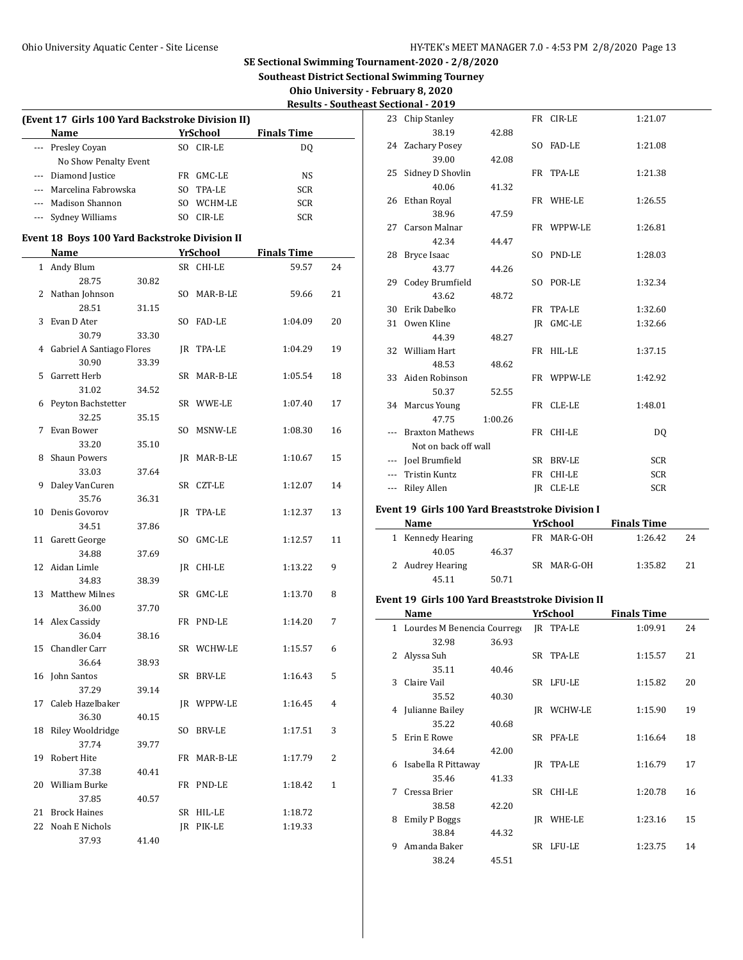**Southeast District Sectional Swimming Tourney**

 $\overline{\phantom{a}}$ 

 $\frac{1}{2}$ 

**Ohio University - February 8, 2020**

|     |                                                              |       |     |                 |                    | <u> Results - South</u> |
|-----|--------------------------------------------------------------|-------|-----|-----------------|--------------------|-------------------------|
|     | (Event 17 Girls 100 Yard Backstroke Division II)             |       |     |                 |                    |                         |
|     | Name                                                         |       |     | <b>YrSchool</b> | <b>Finals Time</b> |                         |
|     | --- Presley Coyan                                            |       |     | SO CIR-LE       | DQ                 |                         |
|     | No Show Penalty Event                                        |       |     |                 |                    |                         |
|     | --- Diamond Justice                                          |       |     | FR GMC-LE       | NS                 |                         |
|     | --- Marcelina Fabrowska                                      |       |     | SO TPA-LE       | <b>SCR</b>         |                         |
| --- | Madison Shannon                                              |       |     | SO WCHM-LE      | <b>SCR</b>         |                         |
| --- | Sydney Williams                                              |       |     | SO CIR-LE       | <b>SCR</b>         |                         |
|     |                                                              |       |     |                 |                    |                         |
|     | <b>Event 18 Boys 100 Yard Backstroke Division II</b><br>Name |       |     | YrSchool        | <b>Finals Time</b> |                         |
|     | 1 Andy Blum                                                  |       |     |                 |                    |                         |
|     |                                                              |       |     | SR CHI-LE       | 59.57              | 24                      |
|     | 28.75                                                        | 30.82 |     |                 |                    |                         |
| 2   | Nathan Johnson                                               |       |     | SO MAR-B-LE     | 59.66              | 21                      |
|     | 28.51                                                        | 31.15 |     |                 |                    |                         |
| 3   | Evan D Ater                                                  |       |     | SO FAD-LE       | 1:04.09            | 20                      |
|     | 30.79                                                        | 33.30 |     |                 |                    |                         |
| 4   | Gabriel A Santiago Flores                                    |       |     | JR TPA-LE       | 1:04.29            | 19                      |
|     | 30.90                                                        | 33.39 |     |                 |                    |                         |
| 5   | Garrett Herb                                                 |       |     | SR MAR-B-LE     | 1:05.54            | 18                      |
|     | 31.02                                                        | 34.52 |     |                 |                    |                         |
| 6   | Peyton Bachstetter                                           |       |     | SR WWE-LE       | 1:07.40            | 17                      |
|     | 32.25                                                        | 35.15 |     |                 |                    |                         |
| 7   | Evan Bower                                                   |       |     | SO MSNW-LE      | 1:08.30            | 16                      |
|     | 33.20                                                        | 35.10 |     |                 |                    |                         |
| 8   | <b>Shaun Powers</b>                                          |       |     | JR MAR-B-LE     | 1:10.67            | 15                      |
|     | 33.03                                                        | 37.64 |     |                 |                    |                         |
| 9   | Daley VanCuren                                               |       |     | SR CZT-LE       | 1:12.07            | 14                      |
|     | 35.76                                                        | 36.31 |     |                 |                    |                         |
| 10  | Denis Govorov                                                |       |     | JR TPA-LE       | 1:12.37            | 13                      |
|     | 34.51                                                        | 37.86 |     |                 |                    |                         |
| 11  | Garett George                                                |       | SO. | GMC-LE          | 1:12.57            | 11                      |
|     | 34.88                                                        | 37.69 |     |                 |                    |                         |
| 12  | Aidan Limle                                                  |       |     | JR CHI-LE       | 1:13.22            | 9                       |
|     | 34.83                                                        | 38.39 |     |                 |                    |                         |
| 13  | <b>Matthew Milnes</b>                                        |       |     | SR GMC-LE       | 1:13.70            | 8                       |
|     | 36.00                                                        | 37.70 |     |                 |                    |                         |
|     | 14 Alex Cassidy                                              |       |     | FR PND-LE       | 1:14.20            | 7                       |
|     | 36.04                                                        | 38.16 |     |                 |                    |                         |
|     | 15 Chandler Carr                                             |       |     | SR WCHW-LE      | 1:15.57            | 6                       |
|     | 36.64                                                        | 38.93 |     |                 |                    |                         |
| 16  | John Santos                                                  |       |     | SR BRV-LE       | 1:16.43            | 5                       |
|     | 37.29                                                        | 39.14 |     |                 |                    |                         |
| 17  | Caleb Hazelbaker                                             |       |     | JR WPPW-LE      | 1:16.45            | 4                       |
|     | 36.30                                                        | 40.15 |     |                 |                    |                         |
| 18  | Riley Wooldridge                                             |       |     | SO BRV-LE       | 1:17.51            | 3                       |
|     | 37.74                                                        | 39.77 |     |                 |                    |                         |
| 19  | Robert Hite                                                  |       |     | FR MAR-B-LE     | 1:17.79            | 2                       |
|     | 37.38                                                        | 40.41 |     |                 |                    |                         |
| 20  | William Burke                                                |       |     | FR PND-LE       | 1:18.42            | 1                       |
|     | 37.85                                                        | 40.57 |     |                 |                    |                         |
| 21  | <b>Brock Haines</b>                                          |       |     | SR HIL-LE       | 1:18.72            |                         |
| 22  | Noah E Nichols                                               |       |     | JR PIK-LE       | 1:19.33            |                         |
|     | 37.93                                                        | 41.40 |     |                 |                    |                         |

|    | <b>Southeast Sectional - 2019</b> |                      |         |  |            |            |  |  |  |  |  |
|----|-----------------------------------|----------------------|---------|--|------------|------------|--|--|--|--|--|
|    |                                   | 23 Chip Stanley      |         |  | FR CIR-LE  | 1:21.07    |  |  |  |  |  |
|    |                                   | 38.19                | 42.88   |  |            |            |  |  |  |  |  |
|    |                                   | 24 Zachary Posey     |         |  | SO FAD-LE  | 1:21.08    |  |  |  |  |  |
|    |                                   | 39.00                | 42.08   |  |            |            |  |  |  |  |  |
|    |                                   | 25 Sidney D Shovlin  |         |  | FR TPA-LE  | 1:21.38    |  |  |  |  |  |
|    |                                   | 40.06                | 41.32   |  |            |            |  |  |  |  |  |
|    |                                   | 26 Ethan Royal       |         |  | FR WHE-LE  | 1:26.55    |  |  |  |  |  |
|    |                                   | 38.96                | 47.59   |  |            |            |  |  |  |  |  |
|    |                                   | 27 Carson Malnar     |         |  | FR WPPW-LE | 1:26.81    |  |  |  |  |  |
|    |                                   | 42.34                | 44.47   |  |            |            |  |  |  |  |  |
|    |                                   | 28 Bryce Isaac       |         |  | SO PND-LE  | 1:28.03    |  |  |  |  |  |
| 24 |                                   | 43.77                | 44.26   |  |            |            |  |  |  |  |  |
|    |                                   | 29 Codey Brumfield   |         |  | SO POR-LE  | 1:32.34    |  |  |  |  |  |
| 21 |                                   | 43.62                | 48.72   |  |            |            |  |  |  |  |  |
|    |                                   | 30 Erik Dabelko      |         |  | FR TPA-LE  | 1:32.60    |  |  |  |  |  |
| 20 |                                   | 31 Owen Kline        |         |  | IR GMC-LE  | 1:32.66    |  |  |  |  |  |
|    |                                   | 44.39                | 48.27   |  |            |            |  |  |  |  |  |
| 19 |                                   | 32 William Hart      |         |  | FR HIL-LE  | 1:37.15    |  |  |  |  |  |
|    |                                   | 48.53                | 48.62   |  |            |            |  |  |  |  |  |
| 18 |                                   | 33 Aiden Robinson    |         |  | FR WPPW-LE | 1:42.92    |  |  |  |  |  |
| 17 |                                   | 50.37                | 52.55   |  |            |            |  |  |  |  |  |
|    |                                   | 34 Marcus Young      |         |  | FR CLE-LE  | 1:48.01    |  |  |  |  |  |
| 16 |                                   | 47.75                | 1:00.26 |  |            |            |  |  |  |  |  |
|    |                                   | --- Braxton Mathews  |         |  | FR CHI-LE  | DQ         |  |  |  |  |  |
| 15 |                                   | Not on back off wall |         |  |            |            |  |  |  |  |  |
|    |                                   | --- Joel Brumfield   |         |  | SR BRV-LE  | <b>SCR</b> |  |  |  |  |  |
| 14 |                                   | <b>Tristin Kuntz</b> |         |  | FR CHI-LE  | <b>SCR</b> |  |  |  |  |  |
|    |                                   | <b>Riley Allen</b>   |         |  | IR CLE-LE  | SCR        |  |  |  |  |  |
|    |                                   |                      |         |  |            |            |  |  |  |  |  |

### **Event 19 Girls 100 Yard Breaststroke Division I**

| Name              |       | YrSchool    | <b>Finals Time</b> |    |
|-------------------|-------|-------------|--------------------|----|
| 1 Kennedy Hearing |       | FR MAR-G-OH | 1:26.42            | 24 |
| 40.05             | 46.37 |             |                    |    |
| 2 Audrey Hearing  |       | SR MAR-G-OH | 1:35.82            | 21 |
| 45.11             | 50.71 |             |                    |    |

# **Event 19 Girls 100 Yard Breaststroke Division II**

|   | Name                        |       |      | YrSchool  | <b>Finals Time</b> |    |  |
|---|-----------------------------|-------|------|-----------|--------------------|----|--|
| 1 | Lourdes M Benencia Courrego |       |      | IR TPA-LE | 1:09.91            | 24 |  |
|   | 32.98                       | 36.93 |      |           |                    |    |  |
| 2 | Alyssa Suh                  |       | SR   | TPA-LE    | 1:15.57            | 21 |  |
|   | 35.11                       | 40.46 |      |           |                    |    |  |
| 3 | Claire Vail                 |       |      | SR LFU-LE | 1:15.82            | 20 |  |
|   | 35.52                       | 40.30 |      |           |                    |    |  |
| 4 | Julianne Bailey             |       | IR   | WCHW-LE   | 1:15.90            | 19 |  |
|   | 35.22                       | 40.68 |      |           |                    |    |  |
| 5 | Erin E Rowe                 |       | SR   | PFA-LE    | 1:16.64            | 18 |  |
|   | 34.64                       | 42.00 |      |           |                    |    |  |
| 6 | Isabella R Pittaway         |       | IR   | TPA-LE    | 1:16.79            | 17 |  |
|   | 35.46                       | 41.33 |      |           |                    |    |  |
| 7 | Cressa Brier                |       | SR - | CHI-LE    | 1:20.78            | 16 |  |
|   | 38.58                       | 42.20 |      |           |                    |    |  |
| 8 | <b>Emily P Boggs</b>        |       | IR   | WHE-LE    | 1:23.16            | 15 |  |
|   | 38.84                       | 44.32 |      |           |                    |    |  |
| 9 | Amanda Baker                |       | SR   | LFU-LE    | 1:23.75            | 14 |  |
|   | 38.24                       | 45.51 |      |           |                    |    |  |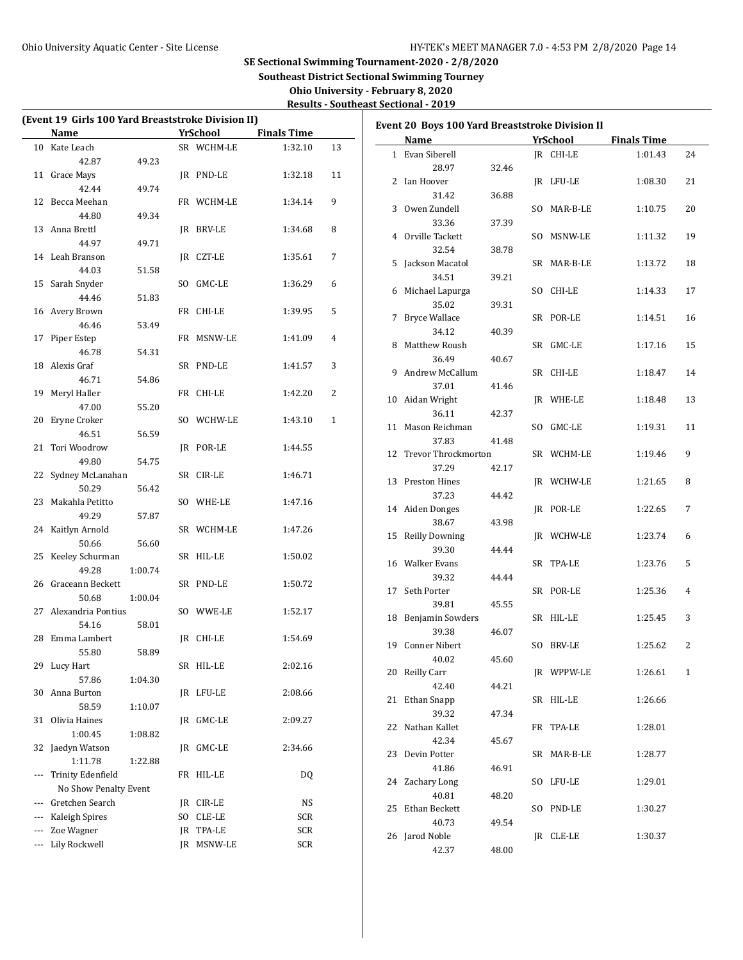**Southeast District Sectional Swimming Tourney**

**Ohio University - February 8, 2020 Results - Southeast Sectional - 2019**

| (Event 19 Girls 100 Yard Breaststroke Division II) |         |            |                    |              | Event 20 Boys 100 Yard Breaststroke Division II |       |             |                    |    |
|----------------------------------------------------|---------|------------|--------------------|--------------|-------------------------------------------------|-------|-------------|--------------------|----|
| Name                                               |         | YrSchool   | <b>Finals Time</b> |              | Name                                            |       | YrSchool    | <b>Finals Time</b> |    |
| 10 Kate Leach                                      |         | SR WCHM-LE | 1:32.10            | 13           | 1 Evan Siberell                                 |       | IR CHI-LE   | 1:01.43            | 24 |
| 42.87                                              | 49.23   |            |                    |              | 28.97                                           | 32.46 |             |                    |    |
| 11 Grace Mays                                      |         | JR PND-LE  | 1:32.18            | 11           |                                                 |       |             |                    |    |
| 42.44                                              | 49.74   |            |                    |              | 2 Ian Hoover                                    |       | JR LFU-LE   | 1:08.30            | 21 |
| 12 Becca Meehan                                    |         | FR WCHM-LE | 1:34.14            | 9            | 31.42                                           | 36.88 |             |                    |    |
| 44.80                                              | 49.34   |            |                    |              | 3 Owen Zundell                                  |       | SO MAR-B-LE | 1:10.75            | 20 |
| 13 Anna Brettl                                     |         | IR BRV-LE  | 1:34.68            | 8            | 33.36                                           | 37.39 |             |                    |    |
| 44.97                                              | 49.71   |            |                    |              | 4 Orville Tackett                               |       | SO MSNW-LE  | 1:11.32            | 19 |
| 14 Leah Branson                                    |         | JR CZT-LE  | 1:35.61            | 7            | 32.54                                           | 38.78 |             |                    |    |
| 44.03                                              | 51.58   |            |                    |              | 5 Jackson Macatol                               |       | SR MAR-B-LE | 1:13.72            | 18 |
| 15 Sarah Snyder                                    |         | SO GMC-LE  | 1:36.29            | 6            | 34.51                                           | 39.21 |             |                    |    |
| 44.46                                              | 51.83   |            |                    |              | 6 Michael Lapurga                               |       | SO CHI-LE   | 1:14.33            | 17 |
| 16 Avery Brown                                     |         | FR CHI-LE  | 1:39.95            | 5            | 35.02                                           | 39.31 |             |                    |    |
| 46.46                                              | 53.49   |            |                    |              | 7 Bryce Wallace                                 |       | SR POR-LE   | 1:14.51            | 16 |
| 17 Piper Estep                                     |         | FR MSNW-LE | 1:41.09            | 4            | 34.12                                           | 40.39 |             |                    |    |
| 46.78                                              | 54.31   |            |                    |              | 8 Matthew Roush                                 |       | SR GMC-LE   | 1:17.16            | 15 |
| 18 Alexis Graf                                     |         | SR PND-LE  | 1:41.57            | 3            | 36.49                                           | 40.67 |             |                    |    |
| 46.71                                              | 54.86   |            |                    |              | 9 Andrew McCallum                               |       | SR CHI-LE   | 1:18.47            | 14 |
| 19 Meryl Haller                                    |         | FR CHI-LE  | 1:42.20            | 2            | 37.01                                           | 41.46 |             |                    |    |
| 47.00                                              | 55.20   |            |                    |              | 10 Aidan Wright                                 |       | JR WHE-LE   | 1:18.48            | 13 |
| 20 Eryne Croker                                    |         | SO WCHW-LE | 1:43.10            | $\mathbf{1}$ | 36.11                                           | 42.37 |             |                    |    |
|                                                    |         |            |                    |              | 11 Mason Reichman                               |       | SO GMC-LE   | 1:19.31            | 11 |
| 46.51                                              | 56.59   |            |                    |              | 37.83                                           | 41.48 |             |                    |    |
| 21 Tori Woodrow                                    |         | JR POR-LE  | 1:44.55            |              | 12 Trevor Throckmorton                          |       | SR WCHM-LE  | 1:19.46            | 9  |
| 49.80                                              | 54.75   |            |                    |              | 37.29                                           | 42.17 |             |                    |    |
| 22 Sydney McLanahan                                |         | SR CIR-LE  | 1:46.71            |              | 13 Preston Hines                                |       | JR WCHW-LE  | 1:21.65            | 8  |
| 50.29                                              | 56.42   |            |                    |              | 37.23                                           | 44.42 |             |                    |    |
| 23 Makahla Petitto                                 |         | SO WHE-LE  | 1:47.16            |              | 14 Aiden Donges                                 |       | JR POR-LE   | 1:22.65            | 7  |
| 49.29                                              | 57.87   |            |                    |              | 38.67                                           | 43.98 |             |                    |    |
| 24 Kaitlyn Arnold                                  |         | SR WCHM-LE | 1:47.26            |              | 15 Reilly Downing                               |       | JR WCHW-LE  | 1:23.74            | 6  |
| 50.66                                              | 56.60   |            |                    |              | 39.30                                           | 44.44 |             |                    |    |
| 25 Keeley Schurman                                 |         | SR HIL-LE  | 1:50.02            |              | 16 Walker Evans                                 |       | SR TPA-LE   | 1:23.76            | 5  |
| 49.28                                              | 1:00.74 |            |                    |              | 39.32                                           | 44.44 |             |                    |    |
| 26 Graceann Beckett                                |         | SR PND-LE  | 1:50.72            |              | 17 Seth Porter                                  |       | SR POR-LE   | 1:25.36            | 4  |
| 50.68                                              | 1:00.04 |            |                    |              | 39.81                                           | 45.55 |             |                    |    |
| 27 Alexandria Pontius                              |         | SO WWE-LE  | 1:52.17            |              | 18 Benjamin Sowders                             |       | SR HIL-LE   | 1:25.45            | 3  |
| 54.16                                              | 58.01   |            |                    |              | 39.38                                           | 46.07 |             |                    |    |
| 28 Emma Lambert                                    |         | IR CHI-LE  | 1:54.69            |              | 19 Conner Nibert                                |       | SO BRV-LE   | 1:25.62            | 2  |
| 55.80                                              | 58.89   |            |                    |              | 40.02                                           | 45.60 |             |                    |    |
| 29 Lucy Hart                                       |         | SR HIL-LE  | 2:02.16            |              | 20 Reilly Carr                                  |       | JR WPPW-LE  | 1:26.61            | 1  |
| 57.86                                              | 1:04.30 |            |                    |              | 42.40                                           | 44.21 |             |                    |    |
| 30 Anna Burton                                     |         | JR LFU-LE  | 2:08.66            |              | 21 Ethan Snapp                                  |       | SR HIL-LE   | 1:26.66            |    |
| 58.59                                              | 1:10.07 |            |                    |              | 39.32                                           | 47.34 |             |                    |    |
| 31 Olivia Haines                                   |         | JR GMC-LE  | 2:09.27            |              | 22 Nathan Kallet                                |       | FR TPA-LE   | 1:28.01            |    |
| 1:00.45                                            | 1:08.82 |            |                    |              | 42.34                                           | 45.67 |             |                    |    |
| 32 Jaedyn Watson                                   |         | JR GMC-LE  | 2:34.66            |              | 23 Devin Potter                                 |       | SR MAR-B-LE | 1:28.77            |    |
| 1:11.78                                            | 1:22.88 |            |                    |              | 41.86                                           | 46.91 |             |                    |    |
| --- Trinity Edenfield                              |         | FR HIL-LE  | DQ                 |              |                                                 |       |             |                    |    |
| No Show Penalty Event                              |         |            |                    |              | 24 Zachary Long                                 |       | SO LFU-LE   | 1:29.01            |    |
| Gretchen Search                                    |         | JR CIR-LE  | NS                 |              | 40.81                                           | 48.20 |             |                    |    |
| Kaleigh Spires                                     |         | SO CLE-LE  | SCR                |              | 25 Ethan Beckett                                |       | SO PND-LE   | 1:30.27            |    |
| Zoe Wagner                                         |         | JR TPA-LE  | SCR                |              | 40.73                                           | 49.54 |             |                    |    |
| Lily Rockwell                                      |         | JR MSNW-LE | SCR                |              | 26 Jarod Noble                                  |       | JR CLE-LE   | 1:30.37            |    |
|                                                    |         |            |                    |              | 42.37                                           | 48.00 |             |                    |    |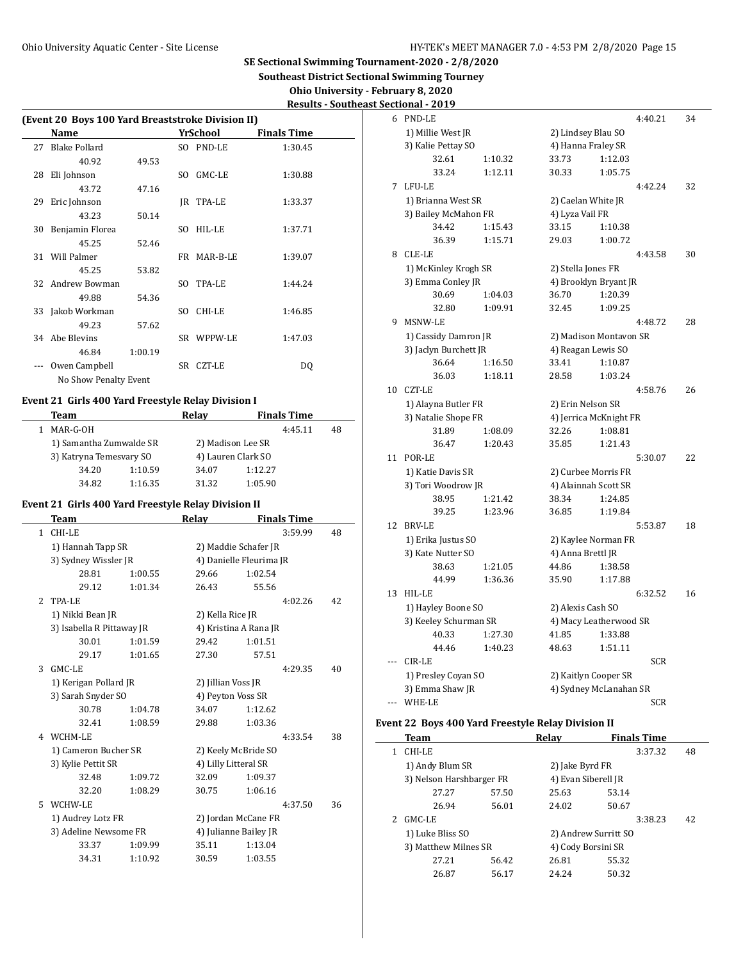**Southeast District Sectional Swimming Tourney**

**Ohio University - February 8, 2020**

| <b>Results - Southeast Sectional - 2019</b> |
|---------------------------------------------|
|                                             |

|    | (Event 20 Boys 100 Yard Breaststroke Division II) |         |     |             |                    |  |  |
|----|---------------------------------------------------|---------|-----|-------------|--------------------|--|--|
|    | Name                                              |         |     | YrSchool    | <b>Finals Time</b> |  |  |
| 27 | Blake Pollard                                     |         |     | SO PND-LE   | 1:30.45            |  |  |
|    | 40.92                                             | 49.53   |     |             |                    |  |  |
| 28 | Eli Johnson                                       |         | SO. | GMC-LE      | 1:30.88            |  |  |
|    | 43.72                                             | 47.16   |     |             |                    |  |  |
| 29 | Eric Johnson                                      |         |     | IR TPA-LE   | 1:33.37            |  |  |
|    | 43.23                                             | 50.14   |     |             |                    |  |  |
| 30 | Benjamin Florea                                   |         | SO. | HIL-LE      | 1:37.71            |  |  |
|    | 45.25                                             | 52.46   |     |             |                    |  |  |
|    | 31 Will Palmer                                    |         |     | FR MAR-B-LE | 1:39.07            |  |  |
|    | 45.25                                             | 53.82   |     |             |                    |  |  |
|    | 32 Andrew Bowman                                  |         | SO. | TPA-LE      | 1:44.24            |  |  |
|    | 49.88                                             | 54.36   |     |             |                    |  |  |
| 33 | Jakob Workman                                     |         | SO. | CHI-LE      | 1:46.85            |  |  |
|    | 49.23                                             | 57.62   |     |             |                    |  |  |
| 34 | Abe Blevins                                       |         |     | SR WPPW-LE  | 1:47.03            |  |  |
|    | 46.84                                             | 1:00.19 |     |             |                    |  |  |
|    | Owen Campbell                                     |         | SR  | CZT-LE      | DO.                |  |  |
|    | No Show Penalty Event                             |         |     |             |                    |  |  |

# **Event 21 Girls 400 Yard Freestyle Relay Division I**

 $\frac{1}{2}$ 

| Team |                         |                         | Relav | <b>Finals Time</b> |    |  |
|------|-------------------------|-------------------------|-------|--------------------|----|--|
|      | MAR-G-OH                |                         |       | 4:45.11            | 48 |  |
|      |                         | 1) Samantha Zumwalde SR |       | 2) Madison Lee SR  |    |  |
|      | 3) Katryna Temesyary SO |                         |       | 4) Lauren Clark SO |    |  |
|      | 34.20                   | 1:10.59                 | 34.07 | 1:12.27            |    |  |
|      | 34.82                   | 1:16.35                 | 31.32 | 1:05.90            |    |  |

### **Event 21 Girls 400 Yard Freestyle Relay Division II**

|               | Team                      |         | Relay                 | <b>Finals Time</b>      |    |
|---------------|---------------------------|---------|-----------------------|-------------------------|----|
| 1             | CHI-LE                    |         |                       | 3:59.99                 | 48 |
|               | 1) Hannah Tapp SR         |         | 2) Maddie Schafer JR  |                         |    |
|               | 3) Sydney Wissler JR      |         |                       | 4) Danielle Fleurima JR |    |
|               | 28.81                     | 1:00.55 | 29.66                 | 1:02.54                 |    |
|               | 29.12                     | 1:01.34 | 26.43                 | 55.56                   |    |
| $\mathcal{L}$ | TPA-LE                    |         |                       | 4:02.26                 | 42 |
|               | 1) Nikki Bean JR          |         | 2) Kella Rice JR      |                         |    |
|               | 3) Isabella R Pittaway JR |         | 4) Kristina A Rana JR |                         |    |
|               | 30.01                     | 1:01.59 | 29.42                 | 1:01.51                 |    |
|               | 29.17                     | 1:01.65 | 27.30                 | 57.51                   |    |
| 3             | GMC-LE                    |         |                       | 4:29.35                 | 40 |
|               | 1) Kerigan Pollard JR     |         | 2) Jillian Voss JR    |                         |    |
|               | 3) Sarah Snyder SO        |         | 4) Peyton Voss SR     |                         |    |
|               | 30.78                     | 1:04.78 | 34.07                 | 1:12.62                 |    |
|               | 32.41                     | 1:08.59 | 29.88                 | 1:03.36                 |    |
| 4             | WCHM-LE                   |         |                       | 4:33.54                 | 38 |
|               | 1) Cameron Bucher SR      |         | 2) Keely McBride SO   |                         |    |
|               | 3) Kylie Pettit SR        |         | 4) Lilly Litteral SR  |                         |    |
|               | 32.48                     | 1:09.72 | 32.09                 | 1:09.37                 |    |
|               | 32.20                     | 1:08.29 | 30.75                 | 1:06.16                 |    |
| 5             | WCHW-LE                   |         |                       | 4:37.50                 | 36 |
|               | 1) Audrey Lotz FR         |         | 2) Jordan McCane FR   |                         |    |
|               | 3) Adeline Newsome FR     |         | 4) Julianne Bailey JR |                         |    |
|               | 33.37                     | 1:09.99 | 35.11                 | 1:13.04                 |    |
|               | 34.31                     | 1:10.92 | 30.59                 | 1:03.55                 |    |
|               |                           |         |                       |                         |    |

|     | <u>ectional - 2019</u> |         |                        |         |            |    |
|-----|------------------------|---------|------------------------|---------|------------|----|
| 6   | PND-LE                 |         |                        |         | 4:40.21    | 34 |
|     | 1) Millie West JR      |         | 2) Lindsey Blau SO     |         |            |    |
|     | 3) Kalie Pettay SO     |         | 4) Hanna Fraley SR     |         |            |    |
|     | 32.61                  | 1:10.32 | 33.73                  | 1:12.03 |            |    |
|     | 33.24                  | 1:12.11 | 30.33                  | 1:05.75 |            |    |
| 7   | LFU-LE                 |         |                        |         | 4:42.24    | 32 |
|     | 1) Brianna West SR     |         | 2) Caelan White JR     |         |            |    |
|     | 3) Bailey McMahon FR   |         | 4) Lyza Vail FR        |         |            |    |
|     | 34.42                  | 1:15.43 | 33.15                  | 1:10.38 |            |    |
|     | 36.39                  | 1:15.71 | 29.03                  | 1:00.72 |            |    |
| 8   | CLE-LE                 |         |                        |         | 4:43.58    | 30 |
|     | 1) McKinley Krogh SR   |         | 2) Stella Jones FR     |         |            |    |
|     | 3) Emma Conley JR      |         | 4) Brooklyn Bryant JR  |         |            |    |
|     | 30.69                  | 1:04.03 | 36.70                  | 1:20.39 |            |    |
|     | 32.80                  | 1:09.91 | 32.45                  | 1:09.25 |            |    |
| 9   | MSNW-LE                |         |                        |         | 4:48.72    | 28 |
|     | 1) Cassidy Damron JR   |         | 2) Madison Montavon SR |         |            |    |
|     | 3) Jaclyn Burchett JR  |         | 4) Reagan Lewis SO     |         |            |    |
|     | 36.64                  | 1:16.50 | 33.41                  | 1:10.87 |            |    |
|     | 36.03                  | 1:18.11 | 28.58                  | 1:03.24 |            |    |
| 10  | <b>CZT-LE</b>          |         |                        |         | 4:58.76    | 26 |
|     | 1) Alayna Butler FR    |         | 2) Erin Nelson SR      |         |            |    |
|     | 3) Natalie Shope FR    |         | 4) Jerrica McKnight FR |         |            |    |
|     | 31.89                  | 1:08.09 | 32.26                  | 1:08.81 |            |    |
|     | 36.47                  | 1:20.43 | 35.85                  | 1:21.43 |            |    |
| 11  | POR-LE                 |         |                        |         | 5:30.07    | 22 |
|     | 1) Katie Davis SR      |         | 2) Curbee Morris FR    |         |            |    |
|     | 3) Tori Woodrow JR     |         | 4) Alainnah Scott SR   |         |            |    |
|     | 38.95                  | 1:21.42 | 38.34                  | 1:24.85 |            |    |
|     | 39.25                  | 1:23.96 | 36.85                  | 1:19.84 |            |    |
| 12  | <b>BRV-LE</b>          |         |                        |         | 5:53.87    | 18 |
|     | 1) Erika Justus SO     |         | 2) Kaylee Norman FR    |         |            |    |
|     | 3) Kate Nutter SO      |         | 4) Anna Brettl JR      |         |            |    |
|     | 38.63                  | 1:21.05 | 44.86                  | 1:38.58 |            |    |
|     | 44.99                  | 1:36.36 | 35.90                  | 1:17.88 |            |    |
| 13  | HIL-LE                 |         |                        |         | 6:32.52    | 16 |
|     | 1) Hayley Boone SO     |         | 2) Alexis Cash SO      |         |            |    |
|     | 3) Keeley Schurman SR  |         | 4) Macy Leatherwood SR |         |            |    |
|     | 40.33                  | 1:27.30 | 41.85                  | 1:33.88 |            |    |
|     | 44.46                  | 1:40.23 | 48.63                  | 1:51.11 |            |    |
|     | CIR-LE                 |         |                        |         | <b>SCR</b> |    |
|     | 1) Presley Coyan SO    |         | 2) Kaitlyn Cooper SR   |         |            |    |
|     | 3) Emma Shaw JR        |         | 4) Sydney McLanahan SR |         |            |    |
| --- | WHE-LE                 |         |                        |         | <b>SCR</b> |    |
|     |                        |         |                        |         |            |    |

### **Event 22 Boys 400 Yard Freestyle Relay Division II**

| Team                     |       | Relav                | <b>Finals Time</b> |    |
|--------------------------|-------|----------------------|--------------------|----|
| CHI-LE                   |       |                      | 3:37.32            | 48 |
| 1) Andy Blum SR          |       | 2) Jake Byrd FR      |                    |    |
| 3) Nelson Harshbarger FR |       | 4) Evan Siberell JR  |                    |    |
| 27.27                    | 57.50 | 25.63                | 53.14              |    |
| 26.94                    | 56.01 | 24.02                | 50.67              |    |
| GMC-LE                   |       |                      | 3:38.23            | 42 |
| 1) Luke Bliss SO         |       | 2) Andrew Surritt SO |                    |    |
| 3) Matthew Milnes SR     |       | 4) Cody Borsini SR   |                    |    |
| 27.21                    | 56.42 | 26.81                | 55.32              |    |
| 26.87                    | 56.17 | 24.24                | 50.32              |    |